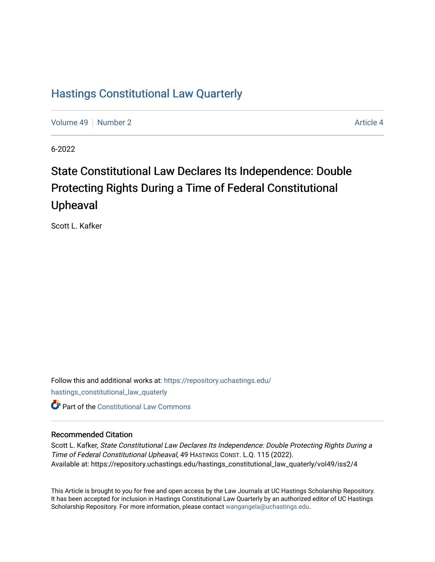### [Hastings Constitutional Law Quarterly](https://repository.uchastings.edu/hastings_constitutional_law_quaterly)

[Volume 49](https://repository.uchastings.edu/hastings_constitutional_law_quaterly/vol49) [Number 2](https://repository.uchastings.edu/hastings_constitutional_law_quaterly/vol49/iss2) Article 4

6-2022

# State Constitutional Law Declares Its Independence: Double Protecting Rights During a Time of Federal Constitutional Upheaval

Scott L. Kafker

Follow this and additional works at: [https://repository.uchastings.edu/](https://repository.uchastings.edu/hastings_constitutional_law_quaterly?utm_source=repository.uchastings.edu%2Fhastings_constitutional_law_quaterly%2Fvol49%2Fiss2%2F4&utm_medium=PDF&utm_campaign=PDFCoverPages) [hastings\\_constitutional\\_law\\_quaterly](https://repository.uchastings.edu/hastings_constitutional_law_quaterly?utm_source=repository.uchastings.edu%2Fhastings_constitutional_law_quaterly%2Fvol49%2Fiss2%2F4&utm_medium=PDF&utm_campaign=PDFCoverPages)  **C** Part of the Constitutional Law Commons

#### Recommended Citation

Scott L. Kafker, State Constitutional Law Declares Its Independence: Double Protecting Rights During a Time of Federal Constitutional Upheaval, 49 HASTINGS CONST. L.Q. 115 (2022). Available at: https://repository.uchastings.edu/hastings\_constitutional\_law\_quaterly/vol49/iss2/4

This Article is brought to you for free and open access by the Law Journals at UC Hastings Scholarship Repository. It has been accepted for inclusion in Hastings Constitutional Law Quarterly by an authorized editor of UC Hastings Scholarship Repository. For more information, please contact [wangangela@uchastings.edu.](mailto:wangangela@uchastings.edu)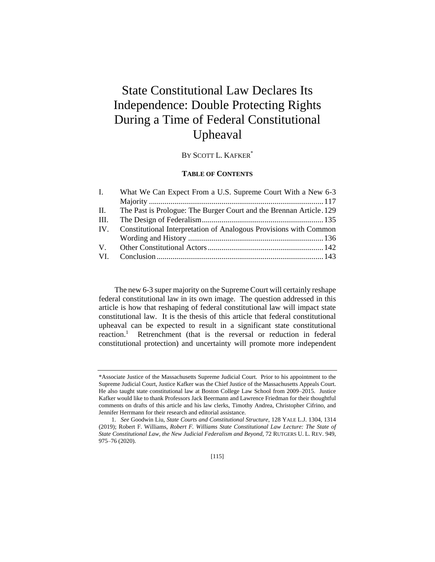## State Constitutional Law Declares Its Independence: Double Protecting Rights During a Time of Federal Constitutional Upheaval

BY SCOTT L. KAFKER\*

#### **TABLE OF CONTENTS**

| What We Can Expect From a U.S. Supreme Court With a New 6-3         |  |
|---------------------------------------------------------------------|--|
|                                                                     |  |
| The Past is Prologue: The Burger Court and the Brennan Article. 129 |  |
|                                                                     |  |
| Constitutional Interpretation of Analogous Provisions with Common   |  |
|                                                                     |  |
|                                                                     |  |
|                                                                     |  |
|                                                                     |  |

The new 6-3 super majority on the Supreme Court will certainly reshape federal constitutional law in its own image. The question addressed in this article is how that reshaping of federal constitutional law will impact state constitutional law. It is the thesis of this article that federal constitutional upheaval can be expected to result in a significant state constitutional reaction.<sup>1</sup> Retrenchment (that is the reversal or reduction in federal constitutional protection) and uncertainty will promote more independent

<sup>\*</sup>Associate Justice of the Massachusetts Supreme Judicial Court. Prior to his appointment to the Supreme Judicial Court, Justice Kafker was the Chief Justice of the Massachusetts Appeals Court. He also taught state constitutional law at Boston College Law School from 2009–2015. Justice Kafker would like to thank Professors Jack Beermann and Lawrence Friedman for their thoughtful comments on drafts of this article and his law clerks, Timothy Andrea, Christopher Cifrino, and Jennifer Herrmann for their research and editorial assistance.

<sup>1.</sup> *See* Goodwin Liu, *State Courts and Constitutional Structure*, 128 YALE L.J. 1304, 1314 (2019); Robert F. Williams, *Robert F. Williams State Constitutional Law Lecture: The State of State Constitutional Law, the New Judicial Federalism and Beyond*, 72 RUTGERS U. L. REV. 949, 975–76 (2020).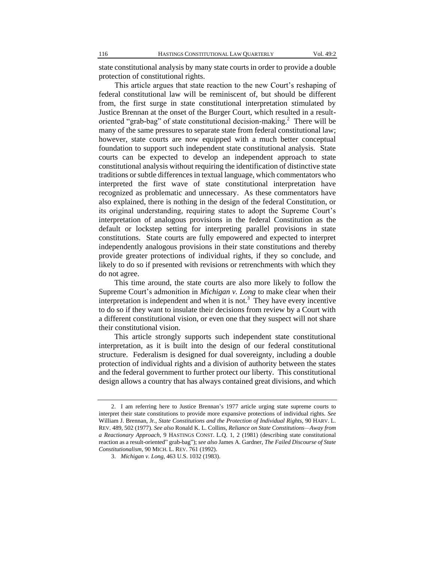state constitutional analysis by many state courts in order to provide a double protection of constitutional rights.

This article argues that state reaction to the new Court's reshaping of federal constitutional law will be reminiscent of, but should be different from, the first surge in state constitutional interpretation stimulated by Justice Brennan at the onset of the Burger Court, which resulted in a resultoriented "grab-bag" of state constitutional decision-making.<sup>2</sup> There will be many of the same pressures to separate state from federal constitutional law; however, state courts are now equipped with a much better conceptual foundation to support such independent state constitutional analysis. State courts can be expected to develop an independent approach to state constitutional analysis without requiring the identification of distinctive state traditions or subtle differences in textual language, which commentators who interpreted the first wave of state constitutional interpretation have recognized as problematic and unnecessary. As these commentators have also explained, there is nothing in the design of the federal Constitution, or its original understanding, requiring states to adopt the Supreme Court's interpretation of analogous provisions in the federal Constitution as the default or lockstep setting for interpreting parallel provisions in state constitutions. State courts are fully empowered and expected to interpret independently analogous provisions in their state constitutions and thereby provide greater protections of individual rights, if they so conclude, and likely to do so if presented with revisions or retrenchments with which they do not agree.

This time around, the state courts are also more likely to follow the Supreme Court's admonition in *Michigan v. Long* to make clear when their interpretation is independent and when it is not.<sup>3</sup> They have every incentive to do so if they want to insulate their decisions from review by a Court with a different constitutional vision, or even one that they suspect will not share their constitutional vision.

This article strongly supports such independent state constitutional interpretation, as it is built into the design of our federal constitutional structure. Federalism is designed for dual sovereignty, including a double protection of individual rights and a division of authority between the states and the federal government to further protect our liberty. This constitutional design allows a country that has always contained great divisions, and which

<sup>2.</sup> I am referring here to Justice Brennan's 1977 article urging state supreme courts to interpret their state constitutions to provide more expansive protections of individual rights. *See* William J. Brennan, Jr.*, State Constitutions and the Protection of Individual Rights*, 90 HARV. L. REV. 489, 502 (1977). *See also* Ronald K. L. Collins, *Reliance on State Constitutions—Away from a Reactionary Approach*, 9 HASTINGS CONST. L.Q. 1, 2 (1981) (describing state constitutional reaction as a result-oriented" grab-bag"); *see also* James A. Gardner, *The Failed Discourse of State Constitutionalism*, 90 MICH. L. REV. 761 (1992).

<sup>3.</sup> *Michigan v. Long*, 463 U.S. 1032 (1983).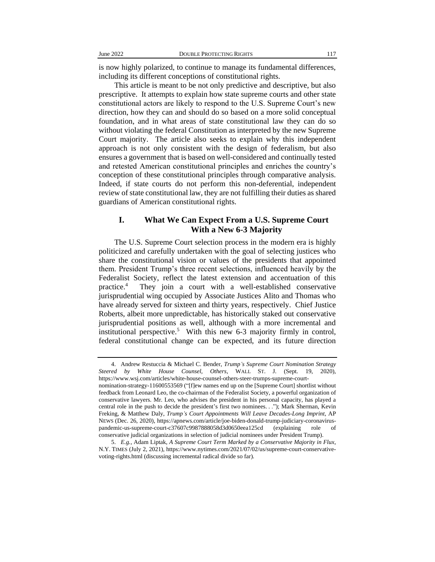is now highly polarized, to continue to manage its fundamental differences, including its different conceptions of constitutional rights.

This article is meant to be not only predictive and descriptive, but also prescriptive. It attempts to explain how state supreme courts and other state constitutional actors are likely to respond to the U.S. Supreme Court's new direction, how they can and should do so based on a more solid conceptual foundation, and in what areas of state constitutional law they can do so without violating the federal Constitution as interpreted by the new Supreme Court majority. The article also seeks to explain why this independent approach is not only consistent with the design of federalism, but also ensures a government that is based on well-considered and continually tested and retested American constitutional principles and enriches the country's conception of these constitutional principles through comparative analysis. Indeed, if state courts do not perform this non-deferential, independent review of state constitutional law, they are not fulfilling their duties as shared guardians of American constitutional rights.

#### **I. What We Can Expect From a U.S. Supreme Court With a New 6-3 Majority**

The U.S. Supreme Court selection process in the modern era is highly politicized and carefully undertaken with the goal of selecting justices who share the constitutional vision or values of the presidents that appointed them. President Trump's three recent selections, influenced heavily by the Federalist Society, reflect the latest extension and accentuation of this practice.<sup>4</sup> They join a court with a well-established conservative jurisprudential wing occupied by Associate Justices Alito and Thomas who have already served for sixteen and thirty years, respectively. Chief Justice Roberts, albeit more unpredictable, has historically staked out conservative jurisprudential positions as well, although with a more incremental and institutional perspective.<sup>5</sup> With this new 6-3 majority firmly in control, federal constitutional change can be expected, and its future direction

<sup>4.</sup> Andrew Restuccia & Michael C. Bender, *Trump's Supreme Court Nomination Strategy Steered by White House Counsel, Others*, WALL ST. J. (Sept. 19, 2020), https://www.wsj.com/articles/white-house-counsel-others-steer-trumps-supreme-court-

nomination-strategy-11600553569 ("[f]ew names end up on the [Supreme Court] shortlist without feedback from Leonard Leo, the co-chairman of the Federalist Society, a powerful organization of conservative lawyers. Mr. Leo, who advises the president in his personal capacity, has played a central role in the push to decide the president's first two nominees. . ."); Mark Sherman, Kevin Freking, & Matthew Daly, *Trump's Court Appointments Will Leave Decades-Long Imprint*, AP NEWS (Dec. 26, 2020), https://apnews.com/article/joe-biden-donald-trump-judiciary-coronaviruspandemic-us-supreme-court-c37607c9987888058d3d0650eea125cd (explaining role of conservative judicial organizations in selection of judicial nominees under President Trump).

<sup>5.</sup> *E.g.*, Adam Liptak, *A Supreme Court Term Marked by a Conservative Majority in Flux*, N.Y. TIMES (July 2, 2021), https://www.nytimes.com/2021/07/02/us/supreme-court-conservativevoting-rights.html (discussing incremental radical divide so far).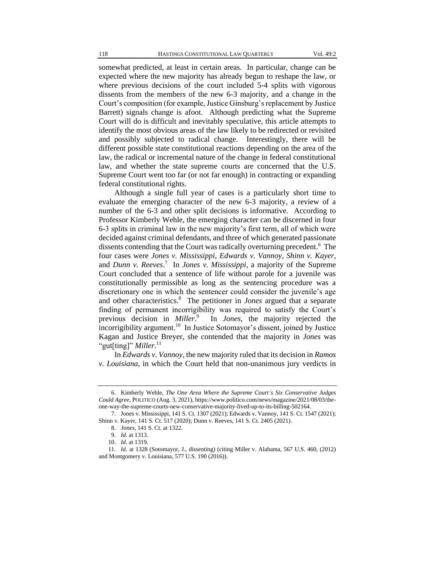somewhat predicted, at least in certain areas. In particular, change can be expected where the new majority has already begun to reshape the law, or where previous decisions of the court included 5-4 splits with vigorous dissents from the members of the new 6-3 majority, and a change in the Court's composition (for example, Justice Ginsburg's replacement by Justice Barrett) signals change is afoot. Although predicting what the Supreme Court will do is difficult and inevitably speculative, this article attempts to identify the most obvious areas of the law likely to be redirected or revisited and possibly subjected to radical change. Interestingly, there will be different possible state constitutional reactions depending on the area of the law, the radical or incremental nature of the change in federal constitutional law, and whether the state supreme courts are concerned that the U.S. Supreme Court went too far (or not far enough) in contracting or expanding federal constitutional rights.

Although a single full year of cases is a particularly short time to evaluate the emerging character of the new 6-3 majority, a review of a number of the 6-3 and other split decisions is informative. According to Professor Kimberly Wehle, the emerging character can be discerned in four 6-3 splits in criminal law in the new majority's first term, all of which were decided against criminal defendants, and three of which generated passionate dissents contending that the Court was radically overturning precedent.<sup>6</sup> The four cases were *Jones v. Mississippi*, *Edwards v. Vannoy*, *Shinn v. Kayer*, and *Dunn v. Reeves*. 7 In *Jones v. Mississippi*, a majority of the Supreme Court concluded that a sentence of life without parole for a juvenile was constitutionally permissible as long as the sentencing procedure was a discretionary one in which the sentencer could consider the juvenile's age and other characteristics.<sup>8</sup> The petitioner in *Jones* argued that a separate finding of permanent incorrigibility was required to satisfy the Court's previous decision in *Miller*. 9 In *Jones*, the majority rejected the incorrigibility argument.<sup>10</sup> In Justice Sotomayor's dissent, joined by Justice Kagan and Justice Breyer, she contended that the majority in *Jones* was "gut[ting]" Miller.<sup>11</sup>

In *Edwards v. Vannoy*, the new majority ruled that its decision in *Ramos v. Louisiana*, in which the Court held that non-unanimous jury verdicts in

<sup>6.</sup> Kimberly Wehle, *The One Area Where the Supreme Court's Six Conservative Judges Could Agree*, POLITICO (Aug. 3, 2021), https://www.politico.com/news/magazine/2021/08/03/theone-way-the-supreme-courts-new-conservative-majority-lived-up-to-its-billing-502164.

<sup>7.</sup> Jones v. Mississippi, 141 S. Ct. 1307 (2021); Edwards v. Vannoy, 141 S. Ct. 1547 (2021); Shinn v. Kayer, 141 S. Ct. 517 (2020); Dunn v. Reeves, 141 S. Ct. 2405 (2021).

<sup>8.</sup> *Jones*, 141 S. Ct. at 1322.

<sup>9</sup>*. Id.* at 1313.

<sup>10.</sup> *Id.* at 1319.

<sup>11.</sup> *Id.* at 1328 (Sotomayor, J., dissenting) (citing Miller v. Alabama, 567 U.S. 460, (2012) and Montgomery v. Louisiana, 577 U.S. 190 (2016)).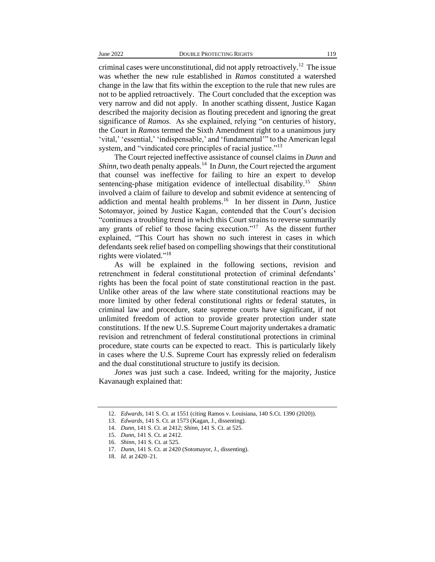criminal cases were unconstitutional, did not apply retroactively.<sup>12</sup> The issue was whether the new rule established in *Ramos* constituted a watershed change in the law that fits within the exception to the rule that new rules are not to be applied retroactively. The Court concluded that the exception was very narrow and did not apply. In another scathing dissent, Justice Kagan described the majority decision as flouting precedent and ignoring the great significance of *Ramos*. As she explained, relying "on centuries of history, the Court in *Ramos* termed the Sixth Amendment right to a unanimous jury 'vital,' 'essential,' 'indispensable,' and 'fundamental'" to the American legal system, and "vindicated core principles of racial justice."<sup>13</sup>

The Court rejected ineffective assistance of counsel claims in *Dunn* and *Shinn*, two death penalty appeals.<sup>14</sup> In *Dunn*, the Court rejected the argument that counsel was ineffective for failing to hire an expert to develop sentencing-phase mitigation evidence of intellectual disability.<sup>15</sup> *Shinn* involved a claim of failure to develop and submit evidence at sentencing of addiction and mental health problems.<sup>16</sup> In her dissent in *Dunn*, Justice Sotomayor, joined by Justice Kagan, contended that the Court's decision "continues a troubling trend in which this Court strains to reverse summarily any grants of relief to those facing execution."<sup>17</sup> As the dissent further explained, "This Court has shown no such interest in cases in which defendants seek relief based on compelling showings that their constitutional rights were violated."<sup>18</sup>

As will be explained in the following sections, revision and retrenchment in federal constitutional protection of criminal defendants' rights has been the focal point of state constitutional reaction in the past. Unlike other areas of the law where state constitutional reactions may be more limited by other federal constitutional rights or federal statutes, in criminal law and procedure, state supreme courts have significant, if not unlimited freedom of action to provide greater protection under state constitutions. If the new U.S. Supreme Court majority undertakes a dramatic revision and retrenchment of federal constitutional protections in criminal procedure, state courts can be expected to react. This is particularly likely in cases where the U.S. Supreme Court has expressly relied on federalism and the dual constitutional structure to justify its decision.

*Jones* was just such a case. Indeed, writing for the majority, Justice Kavanaugh explained that:

<sup>12.</sup> *Edwards*, 141 S. Ct. at 1551 (citing Ramos v. Louisiana, 140 S.Ct. 1390 (2020)).

<sup>13.</sup> *Edwards*, 141 S. Ct. at 1573 (Kagan, J., dissenting).

<sup>14.</sup> *Dunn*, 141 S. Ct. at 2412; *Shinn*, 141 S. Ct. at 525.

<sup>15.</sup> *Dunn*, 141 S. Ct. at 2412.

<sup>16.</sup> *Shinn*, 141 S. Ct. at 525.

<sup>17.</sup> *Dunn*, 141 S. Ct. at 2420 (Sotomayor, J., dissenting).

<sup>18.</sup> *Id.* at 2420–21.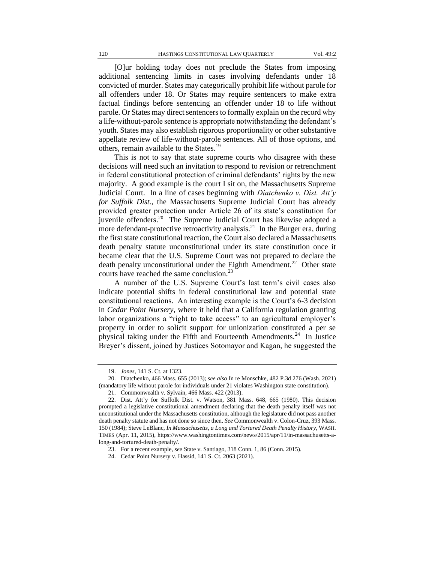[O]ur holding today does not preclude the States from imposing additional sentencing limits in cases involving defendants under 18 convicted of murder. States may categorically prohibit life without parole for all offenders under 18. Or States may require sentencers to make extra factual findings before sentencing an offender under 18 to life without parole. Or States may direct sentencers to formally explain on the record why a life-without-parole sentence is appropriate notwithstanding the defendant's youth. States may also establish rigorous proportionality or other substantive appellate review of life-without-parole sentences. All of those options, and others, remain available to the States.<sup>19</sup>

This is not to say that state supreme courts who disagree with these decisions will need such an invitation to respond to revision or retrenchment in federal constitutional protection of criminal defendants' rights by the new majority. A good example is the court I sit on, the Massachusetts Supreme Judicial Court. In a line of cases beginning with *Diatchenko v. Dist. Att'y for Suffolk Dist.*, the Massachusetts Supreme Judicial Court has already provided greater protection under Article 26 of its state's constitution for juvenile offenders.<sup>20</sup> The Supreme Judicial Court has likewise adopted a more defendant-protective retroactivity analysis.<sup>21</sup> In the Burger era, during the first state constitutional reaction, the Court also declared a Massachusetts death penalty statute unconstitutional under its state constitution once it became clear that the U.S. Supreme Court was not prepared to declare the death penalty unconstitutional under the Eighth Amendment.<sup>22</sup> Other state courts have reached the same conclusion.<sup>23</sup>

A number of the U.S. Supreme Court's last term's civil cases also indicate potential shifts in federal constitutional law and potential state constitutional reactions. An interesting example is the Court's 6-3 decision in *Cedar Point Nursery*, where it held that a California regulation granting labor organizations a "right to take access" to an agricultural employer's property in order to solicit support for unionization constituted a per se physical taking under the Fifth and Fourteenth Amendments.<sup>24</sup> In Justice Breyer's dissent, joined by Justices Sotomayor and Kagan, he suggested the

<sup>19.</sup> *Jones*, 141 S. Ct. at 1323.

<sup>20.</sup> Diatchenko, 466 Mass. 655 (2013); *see also* In re Monschke, 482 P.3d 276 (Wash. 2021) (mandatory life without parole for individuals under 21 violates Washington state constitution).

<sup>21.</sup> Commonwealth v. Sylvain, 466 Mass. 422 (2013).

<sup>22.</sup> Dist. Att'y for Suffolk Dist. v. Watson, 381 Mass. 648, 665 (1980). This decision prompted a legislative constitutional amendment declaring that the death penalty itself was not unconstitutional under the Massachusetts constitution, although the legislature did not pass another death penalty statute and has not done so since then. *See* Commonwealth v. Colon-Cruz, 393 Mass. 150 (1984); Steve LeBlanc, *In Massachusetts, a Long and Tortured Death Penalty History*, WASH. TIMES (Apr. 11, 2015), https://www.washingtontimes.com/news/2015/apr/11/in-massachusetts-along-and-tortured-death-penalty/.

<sup>23.</sup> For a recent example, *see* State v. Santiago, 318 Conn. 1, 86 (Conn. 2015).

<sup>24.</sup> Cedar Point Nursery v. Hassid, 141 S. Ct. 2063 (2021).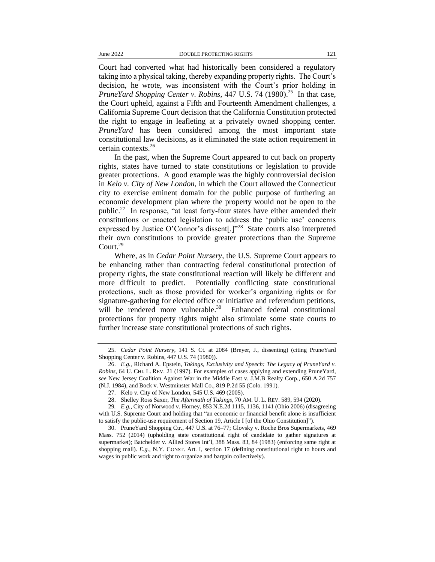Court had converted what had historically been considered a regulatory taking into a physical taking, thereby expanding property rights. The Court's decision, he wrote, was inconsistent with the Court's prior holding in *PruneYard Shopping Center v. Robins*, 447 U.S. 74 (1980).<sup>25</sup> In that case, the Court upheld, against a Fifth and Fourteenth Amendment challenges, a California Supreme Court decision that the California Constitution protected the right to engage in leafleting at a privately owned shopping center. *PruneYard* has been considered among the most important state constitutional law decisions, as it eliminated the state action requirement in certain contexts.<sup>26</sup>

In the past, when the Supreme Court appeared to cut back on property rights, states have turned to state constitutions or legislation to provide greater protections. A good example was the highly controversial decision in *Kelo v. City of New London*, in which the Court allowed the Connecticut city to exercise eminent domain for the public purpose of furthering an economic development plan where the property would not be open to the public.<sup>27</sup> In response, "at least forty-four states have either amended their constitutions or enacted legislation to address the 'public use' concerns expressed by Justice O'Connor's dissent[.]"<sup>28</sup> State courts also interpreted their own constitutions to provide greater protections than the Supreme Court.<sup>29</sup>

Where, as in *Cedar Point Nursery*, the U.S. Supreme Court appears to be enhancing rather than contracting federal constitutional protection of property rights, the state constitutional reaction will likely be different and more difficult to predict. Potentially conflicting state constitutional protections, such as those provided for worker's organizing rights or for signature-gathering for elected office or initiative and referendum petitions, will be rendered more vulnerable.<sup>30</sup> Enhanced federal constitutional protections for property rights might also stimulate some state courts to further increase state constitutional protections of such rights.

<sup>25.</sup> *Cedar Point Nursery*, 141 S. Ct. at 2084 (Breyer, J., dissenting) (citing PruneYard Shopping Center v. Robins, 447 U.S. 74 (1980)).

<sup>26.</sup> *E.g.*, Richard A. Epstein, *Takings, Exclusivity and Speech: The Legacy of PruneYard v. Robins*, 64 U. CHI. L. REV. 21 (1997). For examples of cases applying and extending PruneYard, *see* New Jersey Coalition Against War in the Middle East v. J.M.B Realty Corp., 650 A.2d 757 (N.J. 1984), and Bock v. Westminster Mall Co., 819 P.2d 55 (Colo. 1991).

<sup>27.</sup> Kelo v. City of New London, 545 U.S. 469 (2005).

<sup>28.</sup> Shelley Ross Saxer, *The Aftermath of Takings*, 70 AM. U. L. REV. 589, 594 (2020).

<sup>29</sup>*. E.g.*, City of Norwood v. Horney, 853 N.E.2d 1115, 1136, 1141 (Ohio 2006) (disagreeing with U.S. Supreme Court and holding that "an economic or financial benefit alone is insufficient to satisfy the public-use requirement of Section 19, Article I [of the Ohio Constitution]").

<sup>30.</sup> PruneYard Shopping Ctr*.*, 447 U.S. at 76–77; Glovsky v. Roche Bros Supermarkets, 469 Mass. 752 (2014) (upholding state constitutional right of candidate to gather signatures at supermarket); Batchelder v. Allied Stores Int'l, 388 Mass. 83, 84 (1983) (enforcing same right at shopping mall). *E.g.*, N.Y. CONST. Art. I, section 17 (defining constitutional right to hours and wages in public work and right to organize and bargain collectively).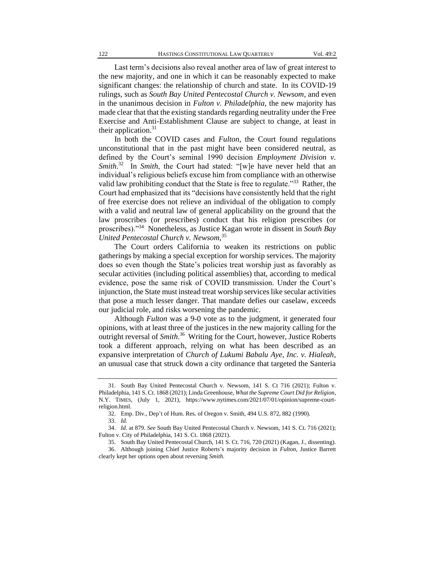Last term's decisions also reveal another area of law of great interest to the new majority, and one in which it can be reasonably expected to make significant changes: the relationship of church and state. In its COVID-19 rulings, such as *South Bay United Pentecostal Church v. Newsom*, and even in the unanimous decision in *Fulton v. Philadelphia*, the new majority has made clear that that the existing standards regarding neutrality under the Free Exercise and Anti-Establishment Clause are subject to change, at least in their application. $31$ 

In both the COVID cases and *Fulton*, the Court found regulations unconstitutional that in the past might have been considered neutral, as defined by the Court's seminal 1990 decision *Employment Division v. Smith*.<sup>32</sup> In *Smith*, the Court had stated: "[w]e have never held that an individual's religious beliefs excuse him from compliance with an otherwise valid law prohibiting conduct that the State is free to regulate."<sup>33</sup> Rather, the Court had emphasized that its "decisions have consistently held that the right of free exercise does not relieve an individual of the obligation to comply with a valid and neutral law of general applicability on the ground that the law proscribes (or prescribes) conduct that his religion prescribes (or proscribes)."<sup>34</sup> Nonetheless, as Justice Kagan wrote in dissent in *South Bay United Pentecostal Church v. Newsom*, 35

The Court orders California to weaken its restrictions on public gatherings by making a special exception for worship services. The majority does so even though the State's policies treat worship just as favorably as secular activities (including political assemblies) that, according to medical evidence, pose the same risk of COVID transmission. Under the Court's injunction, the State must instead treat worship services like secular activities that pose a much lesser danger. That mandate defies our caselaw, exceeds our judicial role, and risks worsening the pandemic.

Although *Fulton* was a 9-0 vote as to the judgment, it generated four opinions, with at least three of the justices in the new majority calling for the outright reversal of *Smith*. 36 Writing for the Court, however, Justice Roberts took a different approach, relying on what has been described as an expansive interpretation of *Church of Lukumi Babalu Aye, Inc. v. Hialeah*, an unusual case that struck down a city ordinance that targeted the Santeria

<sup>31.</sup> South Bay United Pentecostal Church v. Newsom, 141 S. Ct 716 (2021); Fulton v. Philadelphia, 141 S. Ct. 1868 (2021); Linda Greenhouse, *What the Supreme Court Did for Religion*, N.Y. TIMES, (July 1, 2021), https://www.nytimes.com/2021/07/01/opinion/supreme-courtreligion.html.

<sup>32.</sup> Emp. Div., Dep't of Hum. Res. of Oregon v. Smith, 494 U.S. 872, 882 (1990).

<sup>33.</sup> *Id.*

<sup>34.</sup> *Id.* at 879. *See* South Bay United Pentecostal Church v. Newsom, 141 S. Ct. 716 (2021); Fulton v. City of Philadelphia, 141 S. Ct. 1868 (2021).

<sup>35.</sup> South Bay United Pentecostal Church, 141 S. Ct. 716, 720 (2021) (Kagan, J., dissenting). 36. Although joining Chief Justice Roberts's majority decision in *Fulton*, Justice Barrett clearly kept her options open about reversing *Smith*.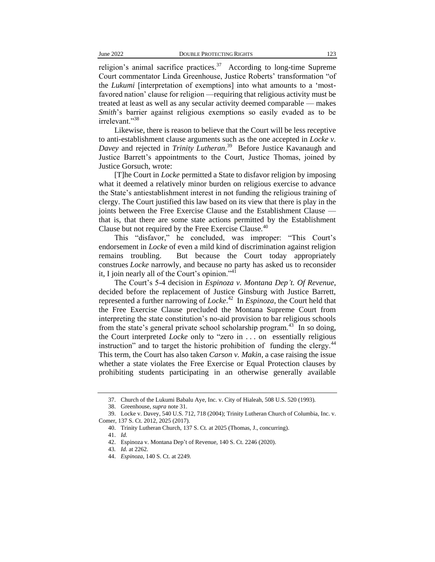religion's animal sacrifice practices.<sup>37</sup> According to long-time Supreme Court commentator Linda Greenhouse, Justice Roberts' transformation "of the *Lukumi* [interpretation of exemptions] into what amounts to a 'mostfavored nation' clause for religion —requiring that religious activity must be treated at least as well as any secular activity deemed comparable — makes *Smith*'s barrier against religious exemptions so easily evaded as to be irrelevant."<sup>38</sup>

Likewise, there is reason to believe that the Court will be less receptive to anti-establishment clause arguments such as the one accepted in *Locke v. Davey* and rejected in *Trinity Lutheran*. 39 Before Justice Kavanaugh and Justice Barrett's appointments to the Court, Justice Thomas, joined by Justice Gorsuch, wrote:

[T]he Court in *Locke* permitted a State to disfavor religion by imposing what it deemed a relatively minor burden on religious exercise to advance the State's antiestablishment interest in not funding the religious training of clergy. The Court justified this law based on its view that there is play in the joints between the Free Exercise Clause and the Establishment Clause that is, that there are some state actions permitted by the Establishment Clause but not required by the Free Exercise Clause.<sup>40</sup>

This "disfavor," he concluded, was improper: "This Court's endorsement in *Locke* of even a mild kind of discrimination against religion remains troubling. But because the Court today appropriately construes *Locke* narrowly, and because no party has asked us to reconsider it, I join nearly all of the Court's opinion." $41$ 

The Court's 5-4 decision in *Espinoza v. Montana Dep't. Of Revenue*, decided before the replacement of Justice Ginsburg with Justice Barrett, represented a further narrowing of *Locke*. <sup>42</sup> In *Espinoza*, the Court held that the Free Exercise Clause precluded the Montana Supreme Court from interpreting the state constitution's no-aid provision to bar religious schools from the state's general private school scholarship program. $43$  In so doing, the Court interpreted *Locke* only to "zero in . . . on essentially religious instruction" and to target the historic prohibition of funding the clergy. $44$ This term, the Court has also taken *Carson v. Makin*, a case raising the issue whether a state violates the Free Exercise or Equal Protection clauses by prohibiting students participating in an otherwise generally available

<sup>37.</sup> Church of the Lukumi Babalu Aye, Inc. v. City of Hialeah, 508 U.S. 520 (1993).

<sup>38.</sup> Greenhouse, *supra* note 31.

<sup>39.</sup> Locke v. Dave[y, 540 U.S. 712,](https://apps.fastcase.com/research/Pages/CitationLookup.aspx?LT=1&ECF=%2c+540+U.S.+712) 718 [\(2004\);](https://apps.fastcase.com/research/Pages/CitationLookup.aspx?LT=1&ECF=158+L.Ed.2d+1+(2004)) Trinity Lutheran Church of Columbia, Inc. v. Comer, 137 S. Ct. 2012, 2025 (2017).

<sup>40.</sup> Trinity Lutheran Church, 137 S. Ct. at 2025 (Thomas, J., concurring).

<sup>41.</sup> *Id.*

<sup>42.</sup> Espinoza v. Montana Dep't of Revenue, 140 S. Ct. 2246 (2020).

<sup>43</sup>*. Id.* at 2262.

<sup>44.</sup> *Espinoza*, 140 S. Ct. at 2249.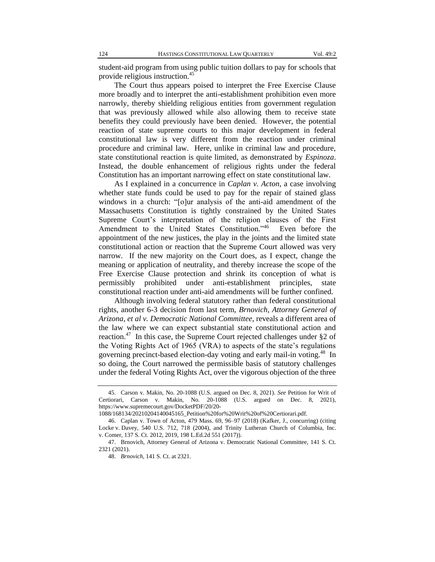student-aid program from using public tuition dollars to pay for schools that provide religious instruction.<sup>45</sup>

The Court thus appears poised to interpret the Free Exercise Clause more broadly and to interpret the anti-establishment prohibition even more narrowly, thereby shielding religious entities from government regulation that was previously allowed while also allowing them to receive state benefits they could previously have been denied. However, the potential reaction of state supreme courts to this major development in federal constitutional law is very different from the reaction under criminal procedure and criminal law. Here, unlike in criminal law and procedure, state constitutional reaction is quite limited, as demonstrated by *Espinoza*. Instead, the double enhancement of religious rights under the federal Constitution has an important narrowing effect on state constitutional law.

As I explained in a concurrence in *Caplan v. Acton*, a case involving whether state funds could be used to pay for the repair of stained glass windows in a church: "[o]ur analysis of the anti-aid amendment of the Massachusetts Constitution is tightly constrained by the United States Supreme Court's interpretation of the religion clauses of the First Amendment to the United States Constitution."<sup>46</sup> Even before the appointment of the new justices, the play in the joints and the limited state constitutional action or reaction that the Supreme Court allowed was very narrow. If the new majority on the Court does, as I expect, change the meaning or application of neutrality, and thereby increase the scope of the Free Exercise Clause protection and shrink its conception of what is permissibly prohibited under anti-establishment principles, state constitutional reaction under anti-aid amendments will be further confined.

Although involving federal statutory rather than federal constitutional rights, another 6-3 decision from last term, *Brnovich, Attorney General of Arizona, et al v. Democratic National Committee*, reveals a different area of the law where we can expect substantial state constitutional action and reaction.<sup>47</sup> In this case, the Supreme Court rejected challenges under §2 of the Voting Rights Act of 1965 (VRA) to aspects of the state's regulations governing precinct-based election-day voting and early mail-in voting.<sup>48</sup> In so doing, the Court narrowed the permissible basis of statutory challenges under the federal Voting Rights Act, over the vigorous objection of the three

<sup>45.</sup> Carson v. Makin, No. 20-1088 (U.S. argued on Dec. 8, 2021). *See* Petition for Writ of Certiorari, Carson v. Makin, No. 20-1088 (U.S. argued on Dec. 8, 2021), https://www.supremecourt.gov/DocketPDF/20/20-

<sup>1088/168134/20210204140045165</sup>\_Petition%20for%20Writ%20of%20Certiorari.pdf.

<sup>46.</sup> Caplan v. Town of Acton, 479 Mass. 69, 96–97 (2018) (Kafker, J., concurring) (citing Locke v. Dave[y, 540 U.S. 712,](https://apps.fastcase.com/research/Pages/CitationLookup.aspx?LT=1&ECF=%2c+540+U.S.+712) 718 [\(2004\),](https://apps.fastcase.com/research/Pages/CitationLookup.aspx?LT=1&ECF=158+L.Ed.2d+1+(2004)) and Trinity Lutheran Church of Columbia, Inc. v. Comer, [137 S. Ct. 2012,](https://apps.fastcase.com/research/Pages/CitationLookup.aspx?LT=1&ECF=137+S.Ct.+2012) [2019, 198 L.Ed.2d 551 \(2017\)\)](https://apps.fastcase.com/research/Pages/CitationLookup.aspx?LT=1&ECF=2019%2c+198+L.Ed.2d+551+(2017)).

<sup>47.</sup> Brnovich, Attorney General of Arizona v. Democratic National Committee, 141 S. Ct. 2321 (2021).

<sup>48.</sup> *Brnovich*, 141 S. Ct. at 2321.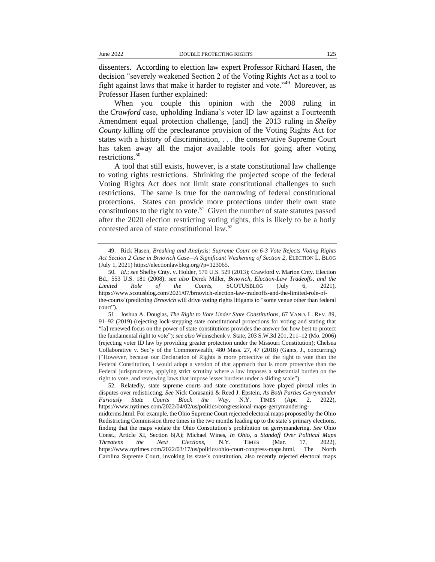dissenters. According to election law expert Professor Richard Hasen, the decision "severely weakened Section 2 of the Voting Rights Act as a tool to fight against laws that make it harder to register and vote."<sup>49</sup> Moreover, as Professor Hasen further explained:

When you couple this opinion with the 2008 ruling in the *Crawford* case, upholding Indiana's voter ID law against a Fourteenth Amendment equal protection challenge, [and] the 2013 ruling in *Shelby County* killing off the preclearance provision of the Voting Rights Act for states with a history of discrimination, . . . the conservative Supreme Court has taken away all the major available tools for going after voting restrictions.<sup>50</sup>

A tool that still exists, however, is a state constitutional law challenge to voting rights restrictions. Shrinking the projected scope of the federal Voting Rights Act does not limit state constitutional challenges to such restrictions. The same is true for the narrowing of federal constitutional protections. States can provide more protections under their own state constitutions to the right to vote.<sup>51</sup> Given the number of state statutes passed after the 2020 election restricting voting rights, this is likely to be a hotly contested area of state constitutional law.<sup>52</sup>

<sup>49.</sup> Rick Hasen, *Breaking and Analysis: Supreme Court on 6-3 Vote Rejects Voting Rights Act Section 2 Case in Brnovich Case—A Significant Weakening of Section 2*, ELECTION L. BLOG (July 1, 2021) https://electionlawblog.org/?p=123065.

<sup>50</sup>*. Id.*; *see* Shelby Cnty. v. Holder, 570 U.S. 529 (2013); Crawford v. Marion Cnty. Election Bd., 553 U.S. 181 (2008); *see also* Derek Miller, *Brnovich, Election-Law Tradeoffs, and the Limited Role of the Courts*, SCOTUSBLOG (July 6, 2021), https://www.scotusblog.com/2021/07/brnovich-election-law-tradeoffs-and-the-limited-role-ofthe-courts/ (predicting *Brnovich* will drive voting rights litigants to "some venue other than federal court").

<sup>51.</sup> Joshua A. Douglas, *The Right to Vote Under State Constitutions*, 67 VAND. L. REV. 89, 91–92 (2019) (rejecting lock-stepping state constitutional protections for voting and stating that "[a] renewed focus on the power of state constitutions provides the answer for how best to protect the fundamental right to vote"); *see also* Weinschenk v. State, 203 S.W.3d 201, 211–12 (Mo. 2006) (rejecting voter ID law by providing greater protection under the Missouri Constitution); Chelsea Collaborative v. Sec'y of the Commonwealth, 480 Mass. 27, 47 (2018) (Gants, J., concurring) ("However, because our Declaration of Rights is more protective of the right to vote than the Federal Constitution, I would adopt a version of that approach that is more protective than the Federal jurisprudence, applying strict scrutiny where a law imposes a substantial burden on the right to vote, and reviewing laws that impose lesser burdens under a sliding scale").

<sup>52.</sup> Relatedly, state supreme courts and state constitutions have played pivotal roles in disputes over redistricting. *See* Nick Corasaniti & Reed J. Epstein, *As Both Parties Gerrymander Furiously State Courts Block the Way*, N.Y. TIMES (Apr. 2, 2022), https://www.nytimes.com/2022/04/02/us/politics/congressional-maps-gerrymanderingmidterms.html. For example, the Ohio Supreme Court rejected electoral maps proposed by the Ohio Redistricting Commission three times in the two months leading up to the state's primary elections,

finding that the maps violate the Ohio Constitution's prohibition on gerrymandering. *See* Ohio Const., Article XI, Section 6(A); Michael Wines, *In Ohio, a Standoff Over Political Maps Threatens the Next Elections*, N.Y. TIMES (Mar. 17, 2022), https://www.nytimes.com/2022/03/17/us/politics/ohio-court-congress-maps.html. The North Carolina Supreme Court, invoking its state's constitution, also recently rejected electoral maps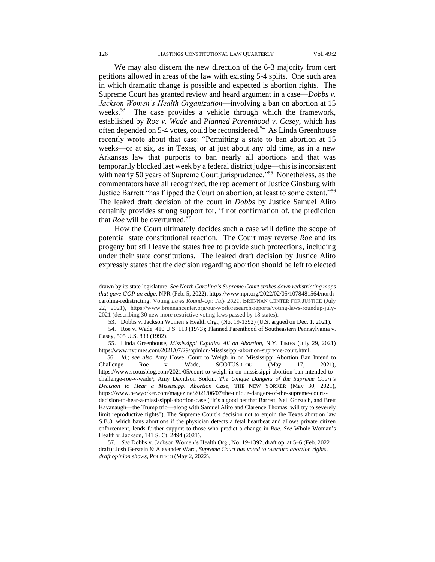We may also discern the new direction of the 6-3 majority from cert petitions allowed in areas of the law with existing 5-4 splits. One such area in which dramatic change is possible and expected is abortion rights. The Supreme Court has granted review and heard argument in a case—*Dobbs v. Jackson Women's Health Organization*—involving a ban on abortion at 15 weeks.<sup>53</sup> The case provides a vehicle through which the framework, established by *Roe v. Wade* and *Planned Parenthood v. Casey*, which has often depended on 5-4 votes, could be reconsidered.<sup>54</sup> As Linda Greenhouse recently wrote about that case: "Permitting a state to ban abortion at 15 weeks—or at six, as in Texas, or at just about any old time, as in a new Arkansas law that purports to ban nearly all abortions and that was temporarily blocked last week by a federal district judge—this is inconsistent with nearly 50 years of Supreme Court jurisprudence."<sup>55</sup> Nonetheless, as the commentators have all recognized, the replacement of Justice Ginsburg with Justice Barrett "has flipped the Court on abortion, at least to some extent."<sup>56</sup> The leaked draft decision of the court in *Dobbs* by Justice Samuel Alito certainly provides strong support for, if not confirmation of, the prediction that *Roe* will be overturned.<sup>57</sup>

How the Court ultimately decides such a case will define the scope of potential state constitutional reaction. The Court may reverse *Roe* and its progeny but still leave the states free to provide such protections, including under their state constitutions. The leaked draft decision by Justice Alito expressly states that the decision regarding abortion should be left to elected

drawn by its state legislature. *See North Carolina's Supreme Court strikes down redistricting maps that gave GOP an edge*, NPR (Feb. 5, 2022), https://www.npr.org/2022/02/05/1078481564/northcarolina-redistricting. Voting *Laws Round-Up: July 2021*, BRENNAN CENTER FOR JUSTICE (July 22, 2021), https://www.brennancenter.org/our-work/research-reports/voting-laws-roundup-july-2021 (describing 30 new more restrictive voting laws passed by 18 states).

<sup>53.</sup> Dobbs v. Jackson Women's Health Org., (No. 19-1392) (U.S. argued on Dec. 1, 2021).

<sup>54.</sup> Roe v. Wade, 410 U.S. 113 (1973); Planned Parenthood of Southeastern Pennsylvania v. Casey, 505 U.S. 833 (1992).

<sup>55.</sup> Linda Greenhouse, *Mississippi Explains All on Abortion*, N.Y. TIMES (July 29, 2021) https:/www.nytimes.com/2021/07/29/opinion/Mississippi-abortion-supreme-court.html.

 <sup>56.</sup> *Id.*; *see also* Amy Howe, Court to Weigh in on Mississippi Abortion Ban Intend to Challenge Roe v. Wade, SCOTUSBLOG (May 17, 2021), https://www.scotusblog.com/2021/05/court-to-weigh-in-on-mississippi-abortion-ban-intended-tochallenge-roe-v-wade/; Amy Davidson Sorkin, *The Unique Dangers of the Supreme Court's Decision to Hear a Mississippi Abortion Case*, THE NEW YORKER (May 30, 2021), https://www.newyorker.com/magazine/2021/06/07/the-unique-dangers-of-the-supreme-courtsdecision-to-hear-a-mississippi-abortion-case ("It's a good bet that Barrett, [Neil Gorsuch,](https://www.newyorker.com/tag/neil-gorsuch) and [Brett](https://www.newyorker.com/tag/brett-kavanaugh)  [Kavanaugh—](https://www.newyorker.com/tag/brett-kavanaugh)the Trump trio—along with Samuel Alito and [Clarence Thomas,](https://www.newyorker.com/culture/essay/clarence-thomass-radical-vision-of-race) will try to severely limit reproductive rights"). The Supreme Court's decision not to enjoin the Texas abortion law S.B.8, which bans abortions if the physician detects a fetal heartbeat and allows private citizen enforcement, lends further support to those who predict a change in *Roe*. *See* Whole Woman's Health v. Jackson, 141 S. Ct. 2494 (2021).

 <sup>57.</sup> *See* Dobbs v. Jackson Women's Health Org., No. 19-1392, draft op. at 5–6 (Feb. 2022 draft); Josh Gerstein & Alexander Ward, *Supreme Court has voted to overturn abortion rights, draft opinion shows*, POLITICO (May 2, 2022).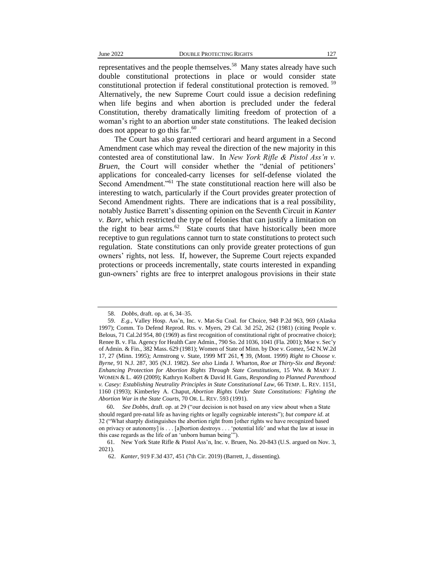representatives and the people themselves.<sup>58</sup> Many states already have such double constitutional protections in place or would consider state constitutional protection if federal constitutional protection is removed. <sup>59</sup> Alternatively, the new Supreme Court could issue a decision redefining when life begins and when abortion is precluded under the federal Constitution, thereby dramatically limiting freedom of protection of a woman's right to an abortion under state constitutions. The leaked decision does not appear to go this far. $60$ 

The Court has also granted certiorari and heard argument in a Second Amendment case which may reveal the direction of the new majority in this contested area of constitutional law. In *New York Rifle & Pistol Ass'n v. Bruen*, the Court will consider whether the "denial of petitioners' applications for concealed-carry licenses for self-defense violated the Second Amendment."<sup>61</sup> The state constitutional reaction here will also be interesting to watch, particularly if the Court provides greater protection of Second Amendment rights. There are indications that is a real possibility, notably Justice Barrett's dissenting opinion on the Seventh Circuit in *Kanter v. Barr*, which restricted the type of felonies that can justify a limitation on the right to bear arms. $62$  State courts that have historically been more receptive to gun regulations cannot turn to state constitutions to protect such regulation. State constitutions can only provide greater protections of gun owners' rights, not less. If, however, the Supreme Court rejects expanded protections or proceeds incrementally, state courts interested in expanding gun-owners' rights are free to interpret analogous provisions in their state

 <sup>58.</sup> *Dobbs*, draft. op. at 6, 34–35.

 <sup>59.</sup> *E.g.*, Valley Hosp. Ass'n, Inc. v. Mat-Su Coal. for Choice, 948 P.2d 963, 969 (Alaska 1997); Comm. To Defend Reprod. Rts. v. Myers, 29 Cal. 3d 252, 262 (1981) (citing People v. Belous, 71 Cal.2d 954, 80 (1969) as first recognition of constitutional right of procreative choice); Renee B. v. Fla. Agency for Health Care Admin., 790 So. 2d 1036, 1041 (Fla. 2001); Moe v. Sec'y of Admin. & Fin., 382 Mass. 629 (1981); Women of State of Minn. by Doe v. Gomez, 542 N.W.2d 17, 27 (Minn. 1995); Armstrong v. State, 1999 MT 261, ¶ 39, (Mont. 1999) *Right to Choose v. Byrne*, 91 N.J. 287, 305 (N.J. 1982). *See also* Linda J. Wharton, *Roe at Thirty-Six and Beyond: Enhancing Protection for Abortion Rights Through State Constitutions*, 15 WM. & MARY J. WOMEN & L. 469 (2009); Kathryn Kolbert & David H. Gans, *Responding to Planned Parenthood v. Casey: Establishing Neutrality Principles in State Constitutional Law*, 66 TEMP. L. REV. 1151, 1160 (1993); Kimberley A. Chaput, *Abortion Rights Under State Constitutions: Fighting the Abortion War in the State Courts*, 70 OR. L. REV. 593 (1991).

60. *See Dobbs*, draft. op. at 29 ("our decision is not based on any view about when a State should regard pre-natal life as having rights or legally cognizable interests"); *but compare id*. at 32 ("What sharply distinguishes the abortion right from [other rights we have recognized based on privacy or autonomy] is . . . [a]bortion destroys . . . 'potential life' and what the law at issue in this case regards as the life of an 'unborn human being'").

<sup>61.</sup> New York State Rifle & Pistol Ass'n, Inc. v. Bruen, No. 20-843 (U.S. argued on Nov. 3, 2021).

<sup>62.</sup> *Kanter*, 919 F.3d 437, 451 (7th Cir. 2019) (Barrett, J., dissenting).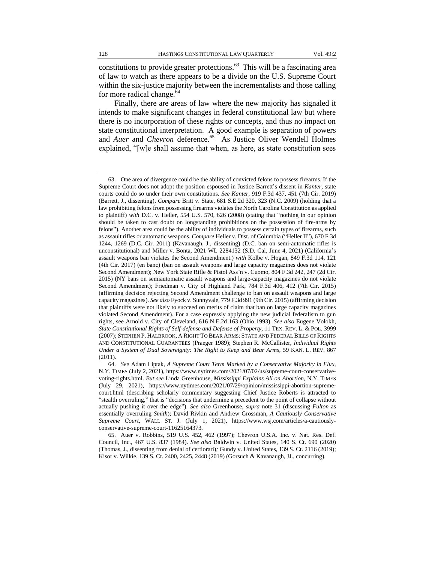constitutions to provide greater protections. $63$  This will be a fascinating area of law to watch as there appears to be a divide on the U.S. Supreme Court within the six-justice majority between the incrementalists and those calling for more radical change.<sup>64</sup>

Finally, there are areas of law where the new majority has signaled it intends to make significant changes in federal constitutional law but where there is no incorporation of these rights or concepts, and thus no impact on state constitutional interpretation. A good example is separation of powers and *Auer* and *Chevron* deference.<sup>65</sup> As Justice Oliver Wendell Holmes explained, "[w]e shall assume that when, as here, as state constitution sees

<sup>63.</sup> One area of divergence could be the ability of convicted felons to possess firearms. If the Supreme Court does not adopt the position espoused in Justice Barrett's dissent in *Kanter*, state courts could do so under their own constitutions. *See Kanter*, 919 F.3d 437, 451 (7th Cir. 2019) (Barrett, J., dissenting). *Compare* Britt v. State, 681 S.E.2d 320, 323 (N.C. 2009) (holding that a law prohibiting felons from possessing firearms violates the North Carolina Constitution as applied to plaintiff) *with* D.C. v. Heller, 554 U.S. 570, 626 (2008) (stating that "nothing in our opinion should be taken to cast doubt on longstanding prohibitions on the possession of fire-arms by felons"). Another area could be the ability of individuals to possess certain types of firearms, such as assault rifles or automatic weapons. *Compare* Heller v. Dist. of Columbia ("Heller II"), 670 F.3d 1244, 1269 (D.C. Cir. 2011) (Kavanaugh, J., dissenting) (D.C. ban on semi-automatic rifles is unconstitutional) and Miller v. Bonta, 2021 WL 2284132 (S.D. Cal. June 4, 2021) (California's assault weapons ban violates the Second Amendment.) *with* Kolbe v. Hogan, 849 F.3d 114, 121 (4th Cir. 2017) (en banc) (ban on assault weapons and large capacity magazines does not violate Second Amendment); New York State Rifle & Pistol Ass'n v. Cuomo, 804 F.3d 242, 247 (2d Cir. 2015) (NY bans on semiautomatic assault weapons and large-capacity magazines do not violate Second Amendment); Friedman v. City of Highland Park, 784 F.3d 406, 412 (7th Cir. 2015) (affirming decision rejecting Second Amendment challenge to ban on assault weapons and large capacity magazines). *See also* Fyock v. Sunnyvale, 779 F.3d 991 (9th Cir. 2015) (affirming decision that plaintiffs were not likely to succeed on merits of claim that ban on large capacity magazines violated Second Amendment). For a case expressly applying the new judicial federalism to gun rights, see Arnold v. City of Cleveland, 616 N.E.2d 163 (Ohio 1993). *See also* Eugene Volokh, *State Constitutional Rights of Self-defense and Defense of Property*, 11 TEX. REV. L. & POL. 3999 (2007); STEPHEN P. HALBROOK, A RIGHT TO BEAR ARMS: STATE AND FEDERAL BILLS OF RIGHTS AND CONSTITUTIONAL GUARANTEES (Praeger 1989); Stephen R. McCallister, *Individual Rights Under a System of Dual Sovereignty: The Right to Keep and Bear Arms*, 59 KAN. L. REV. 867 (2011).

<sup>64.</sup> *See* Adam Liptak, *A Supreme Court Term Marked by a Conservative Majority in Flux*, N.Y. TIMES (July 2, 2021), https://www.nytimes.com/2021/07/02/us/supreme-court-conservativevoting-rights.html. *But see* Linda Greenhouse, *Mississippi Explains All on Abortion*, N.Y. TIMES (July 29, 2021), https://www.nytimes.com/2021/07/29/opinion/mississippi-abortion-supremecourt.html (describing scholarly commentary suggesting Chief Justice Roberts is attracted to "stealth overruling," that is "decisions that undermine a precedent to the point of collapse without actually pushing it over the edge"). *See also* Greenhouse, *supra* note 31 (discussing *Fulton* as essentially overruling *Smith*); David Rivkin and Andrew Grossman, *A Cautiously Conservative Supreme Court*, WALL ST. J. (July 1, 2021), https://www.wsj.com/articles/a-cautiouslyconservative-supreme-court-11625164373.

<sup>65.</sup> Auer v. Robbins, 519 U.S. 452, 462 (1997); Chevron U.S.A. Inc. v. Nat. Res. Def. Council, Inc., 467 U.S. 837 (1984). *See also* Baldwin v. United States, 140 S. Ct. 690 (2020) (Thomas, J., dissenting from denial of certiorari)*;* Gundy v. United States*,* 139 S. Ct. 2116 (2019); Kisor v. Wilkie, 139 S. Ct. 2400, 2425, 2448 (2019) (Gorsuch & Kavanaugh, JJ., concurring).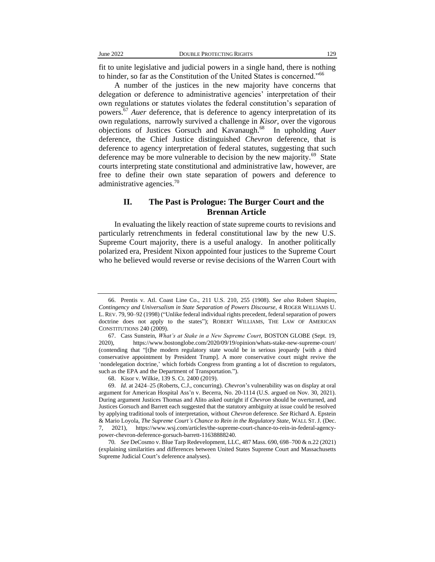fit to unite legislative and judicial powers in a single hand, there is nothing to hinder, so far as the Constitution of the United States is concerned."<sup>66</sup>

A number of the justices in the new majority have concerns that delegation or deference to administrative agencies' interpretation of their own regulations or statutes violates the federal constitution's separation of powers.<sup>67</sup> *Auer* deference, that is deference to agency interpretation of its own regulations, narrowly survived a challenge in *Kisor*, over the vigorous objections of Justices Gorsuch and Kavanaugh.<sup>68</sup> In upholding Auer deference, the Chief Justice distinguished *Chevron* deference, that is deference to agency interpretation of federal statutes, suggesting that such deference may be more vulnerable to decision by the new majority.<sup>69</sup> State courts interpreting state constitutional and administrative law, however, are free to define their own state separation of powers and deference to administrative agencies. $70$ 

#### **II. The Past is Prologue: The Burger Court and the Brennan Article**

In evaluating the likely reaction of state supreme courts to revisions and particularly retrenchments in federal constitutional law by the new U.S. Supreme Court majority, there is a useful analogy. In another politically polarized era, President Nixon appointed four justices to the Supreme Court who he believed would reverse or revise decisions of the Warren Court with

<sup>66.</sup> Prentis v. Atl. Coast Line Co., 211 U.S. 210, 255 (1908). *See also* Robert Shapiro, *Contingency and Universalism in State Separation of Powers Discourse*, 4 ROGER WILLIAMS U. L. REV. 79, 90–92 (1998) ("Unlike federal individual rights precedent, federal separation of powers doctrine does not apply to the states"); ROBERT WILLIAMS, THE LAW OF AMERICAN CONSTITUTIONS 240 (2009).

<sup>67.</sup> Cass Sunstein, *What's at Stake in a New Supreme Court*, BOSTON GLOBE (Sept. 19, 2020), https://www.bostonglobe.com/2020/09/19/opinion/whats-stake-new-supreme-court/ (contending that "[t]he modern regulatory state would be in serious jeopardy [with a third conservative appointment by President Trump]. A more conservative court might revive the 'nondelegation doctrine,' which forbids Congress from granting a lot of discretion to regulators, such as the EPA and the Department of Transportation.").

<sup>68.</sup> Kisor v. Wilkie, 139 S. Ct. 2400 (2019).

<sup>69.</sup> *Id.* at 2424–25 (Roberts, C.J., concurring). *Chevron*'s vulnerability was on display at oral argument for American Hospital Ass'n v. Becerra, No. 20-1114 (U.S. argued on Nov. 30, 2021). During argument Justices Thomas and Alito asked outright if *Chevron* should be overturned, and Justices Gorsuch and Barrett each suggested that the statutory ambiguity at issue could be resolved by applying traditional tools of interpretation, without *Chevron* deference. *See* Richard A. Epstein & Mario Loyola, *The Supreme Court's Chance to Rein in the Regulatory State*, WALL ST. J. (Dec. 7, 2021), https://www.wsj.com/articles/the-supreme-court-chance-to-rein-in-federal-agencypower-chevron-deference-gorsuch-barrett-11638888240.

<sup>70</sup>*. See* DeCosmo v. Blue Tarp Redevelopment, LLC, 487 Mass. 690, 698–700 & n.22 (2021) (explaining similarities and differences between United States Supreme Court and Massachusetts Supreme Judicial Court's deference analyses).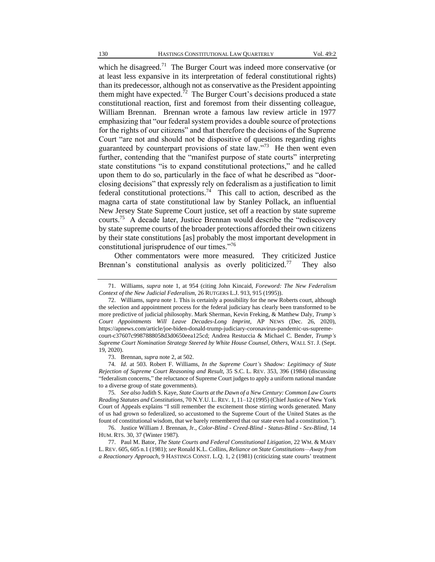which he disagreed.<sup>71</sup> The Burger Court was indeed more conservative (or at least less expansive in its interpretation of federal constitutional rights) than its predecessor, although not as conservative as the President appointing them might have expected.<sup>72</sup> The Burger Court's decisions produced a state constitutional reaction, first and foremost from their dissenting colleague, William Brennan. Brennan wrote a famous law review article in 1977 emphasizing that "our federal system provides a double source of protections for the rights of our citizens" and that therefore the decisions of the Supreme Court "are not and should not be dispositive of questions regarding rights guaranteed by counterpart provisions of state law."<sup>73</sup> He then went even further, contending that the "manifest purpose of state courts" interpreting state constitutions "is to expand constitutional protections," and he called upon them to do so, particularly in the face of what he described as "doorclosing decisions" that expressly rely on federalism as a justification to limit federal constitutional protections.<sup>74</sup> This call to action, described as the magna carta of state constitutional law by Stanley Pollack, an influential New Jersey State Supreme Court justice, set off a reaction by state supreme courts.<sup>75</sup> A decade later, Justice Brennan would describe the "rediscovery by state supreme courts of the broader protections afforded their own citizens by their state constitutions [as] probably the most important development in constitutional jurisprudence of our times."<sup>76</sup>

Other commentators were more measured. They criticized Justice Brennan's constitutional analysis as overly politicized.<sup>77</sup> They also

<sup>71.</sup> Williams*, supra* note 1, at 954 (citing John Kincaid, *Foreword: The New Federalism Context of the New Judicial Federalism*, 26 RUTGERS L.J. 913, 915 (1995)).

<sup>72.</sup> Williams, *supra* note 1. This is certainly a possibility for the new Roberts court, although the selection and appointment process for the federal judiciary has clearly been transformed to be more predictive of judicial philosophy. Mark Sherman, Kevin Freking, & Matthew Daly, *Trump's Court Appointments Will Leave Decades-Long Imprint*, AP NEWS (Dec. 26, 2020), https://apnews.com/article/joe-biden-donald-trump-judiciary-coronavirus-pandemic-us-supremecourt-c37607c9987888058d3d0650eea125cd; Andrea Restuccia & Michael C. Bender, *Trump's Supreme Court Nomination Strategy Steered by White House Counsel, Others*, WALL ST. J. (Sept. 19, 2020).

<sup>73.</sup> Brennan, *supra* note 2, at 502.

<sup>74</sup>*. Id.* at 503. Robert F. Williams, *In the Supreme Court's Shadow: Legitimacy of State Rejection of Supreme Court Reasoning and Result*, 35 S.C. L. REV. 353, 396 (1984) (discussing "federalism concerns," the reluctance of Supreme Court judges to apply a uniform national mandate to a diverse group of state governments).

<sup>75</sup>*. See also* Judith S. Kaye, *State Courts at the Dawn of a New Century: Common Law Courts Reading Statutes and Constitutions*, 70 N.Y.U. L. REV. 1, 11–12 (1995) (Chief Justice of New York Court of Appeals explains "I still remember the excitement those stirring words generated. Many of us had grown so federalized, so accustomed to the Supreme Court of the United States as the fount of constitutional wisdom, that we barely remembered that our state even had a constitution.").

<sup>76.</sup> Justice William J. Brennan, Jr., *Color-Blind - Creed-Blind - Status-Blind - Sex-Blind*, 14 HUM. RTS. 30, 37 (Winter 1987).

<sup>77.</sup> Paul M. Bator, *The State Courts and Federal Constitutional Litigation*, 22 WM. & MARY L. REV. 605, 605 n.1 (1981); *see* Ronald K.L. Collins, *Reliance on State Constitutions—Away from a Reactionary Approach*, 9 HASTINGS CONST. L.Q. 1, 2 (1981) (criticizing state courts' treatment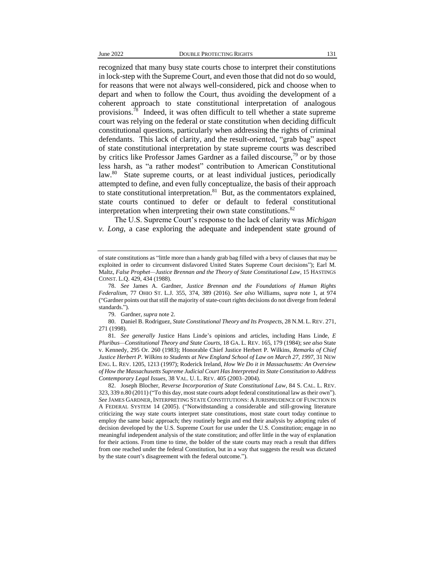recognized that many busy state courts chose to interpret their constitutions in lock-step with the Supreme Court, and even those that did not do so would, for reasons that were not always well-considered, pick and choose when to depart and when to follow the Court, thus avoiding the development of a coherent approach to state constitutional interpretation of analogous provisions.<sup>78</sup> Indeed, it was often difficult to tell whether a state supreme court was relying on the federal or state constitution when deciding difficult constitutional questions, particularly when addressing the rights of criminal defendants. This lack of clarity, and the result-oriented, "grab bag" aspect of state constitutional interpretation by state supreme courts was described by critics like Professor James Gardner as a failed discourse.<sup>79</sup> or by those less harsh, as "a rather modest" contribution to American Constitutional law.<sup>80</sup> State supreme courts, or at least individual justices, periodically attempted to define, and even fully conceptualize, the basis of their approach to state constitutional interpretation. $81$  But, as the commentators explained, state courts continued to defer or default to federal constitutional interpretation when interpreting their own state constitutions. $82$ 

The U.S. Supreme Court's response to the lack of clarity was *Michigan v. Long*, a case exploring the adequate and independent state ground of

80. Daniel B. Rodriguez, *State Constitutional Theory and Its Prospects*, 28 N.M. L. REV. 271, 271 (1998).

of state constitutions as "little more than a handy grab bag filled with a bevy of clauses that may be exploited in order to circumvent disfavored United States Supreme Court decisions"); Earl M. Maltz, *False Prophet—Justice Brennan and the Theory of State Constitutional Law*, 15 HASTINGS CONST. L.Q. 429, 434 (1988).

<sup>78.</sup> *See* James A. Gardner, *Justice Brennan and the Foundations of Human Rights Federalism*, 77 OHIO ST. L.J. 355, 374, 389 (2016). *See also* Williams*, supra* note 1, at 974 ("Gardner points out that still the majority of state-court rights decisions do not diverge from federal standards.").

<sup>79.</sup> Gardner, *supra* note 2.

<sup>81</sup>*. See generally* Justice Hans Linde's opinions and articles, including Hans Linde, *E Pluribus—Constitutional Theory and State Courts*, 18 GA. L. REV. 165, 179 (1984); *see also* State v. Kennedy, 295 Or. 260 (1983); Honorable Chief Justice Herbert P. Wilkins, *Remarks of Chief Justice Herbert P. Wilkins to Students at New England School of Law on March 27, 1997*, 31 NEW ENG. L. REV. 1205, 1213 (1997); Roderick Ireland, *How We Do it in Massachusetts: An Overview of How the Massachusetts Supreme Judicial Court Has Interpreted its State Constitution to Address Contemporary Legal Issues*, 38 VAL. U. L. REV. 405 (2003–2004).

<sup>82.</sup> Joseph Blocher, *Reverse Incorporation of State Constitutional Law*, 84 S. CAL. L. REV. 323, 339 n.80 (2011) ("To this day, most state courts adopt federal constitutional law as their own"). *See* JAMES GARDNER, INTERPRETING STATE CONSTITUTIONS: A JURISPRUDENCE OF FUNCTION IN A FEDERAL SYSTEM 14 (2005). ("Notwithstanding a considerable and still-growing literature criticizing the way state courts interpret state constitutions, most state court today continue to employ the same basic approach; they routinely begin and end their analysis by adopting rules of decision developed by the U.S. Supreme Court for use under the U.S. Constitution; engage in no meaningful independent analysis of the state constitution; and offer little in the way of explanation for their actions. From time to time, the bolder of the state courts may reach a result that differs from one reached under the federal Constitution, but in a way that suggests the result was dictated by the state court's disagreement with the federal outcome.").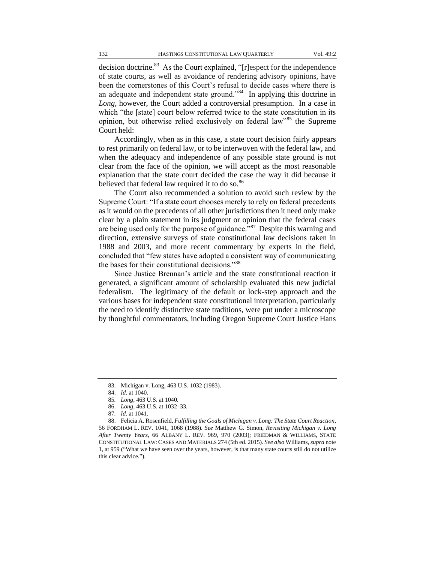decision doctrine.<sup>83</sup> As the Court explained, "[r]espect for the independence of state courts, as well as avoidance of rendering advisory opinions, have been the cornerstones of this Court's refusal to decide cases where there is an adequate and independent state ground."<sup>84</sup> In applying this doctrine in *Long*, however, the Court added a controversial presumption. In a case in which "the [state] court below referred twice to the state constitution in its opinion, but otherwise relied exclusively on federal law"<sup>85</sup> the Supreme Court held:

Accordingly, when as in this case, a state court decision fairly appears to rest primarily on federal law, or to be interwoven with the federal law, and when the adequacy and independence of any possible state ground is not clear from the face of the opinion, we will accept as the most reasonable explanation that the state court decided the case the way it did because it believed that federal law required it to do so.<sup>86</sup>

The Court also recommended a solution to avoid such review by the Supreme Court: "If a state court chooses merely to rely on federal precedents as it would on the precedents of all other jurisdictions then it need only make clear by a plain statement in its judgment or opinion that the federal cases are being used only for the purpose of guidance."<sup>87</sup> Despite this warning and direction, extensive surveys of state constitutional law decisions taken in 1988 and 2003, and more recent commentary by experts in the field, concluded that "few states have adopted a consistent way of communicating the bases for their constitutional decisions."<sup>88</sup>

Since Justice Brennan's article and the state constitutional reaction it generated, a significant amount of scholarship evaluated this new judicial federalism. The legitimacy of the default or lock-step approach and the various bases for independent state constitutional interpretation, particularly the need to identify distinctive state traditions, were put under a microscope by thoughtful commentators, including Oregon Supreme Court Justice Hans

<sup>83.</sup> Michigan v. Long, 463 U.S. 1032 (1983).

<sup>84.</sup> *Id.* at 1040.

<sup>85</sup>*. Long*, 463 U.S. at 1040.

<sup>86.</sup> *Long*, 463 U.S. at 1032–33.

<sup>87</sup>*. Id.* at 1041.

<sup>88.</sup> Felicia A. Rosenfield, *Fulfilling the Goals of Michigan v. Long: The State Court Reaction*, 56 FORDHAM L. REV. 1041, 1068 (1988). *See* Matthew G. Simon, *Revisiting Michigan v. Long After Twenty Years*, 66 ALBANY L. REV. 969, 970 (2003); FRIEDMAN & WILLIAMS, STATE CONSTITUTIONAL LAW: CASES AND MATERIALS 274 (5th ed. 2015). *See also* Williams*, supra* note 1, at 959 ("What we have seen over the years, however, is that many state courts still do not utilize this clear advice.").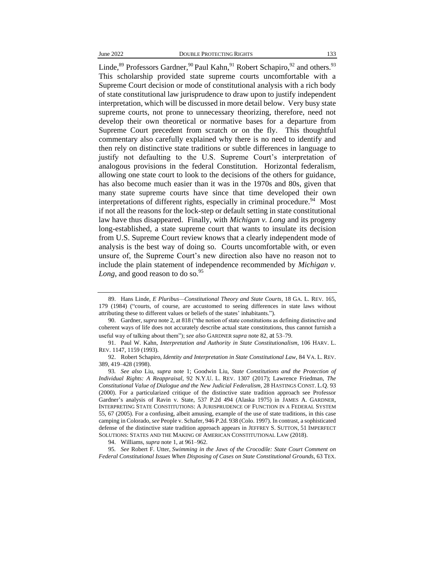Linde,  $89$  Professors Gardner,  $99$  Paul Kahn,  $91$  Robert Schapiro,  $92$  and others.  $93$ This scholarship provided state supreme courts uncomfortable with a Supreme Court decision or mode of constitutional analysis with a rich body of state constitutional law jurisprudence to draw upon to justify independent interpretation, which will be discussed in more detail below. Very busy state supreme courts, not prone to unnecessary theorizing, therefore, need not develop their own theoretical or normative bases for a departure from Supreme Court precedent from scratch or on the fly. This thoughtful commentary also carefully explained why there is no need to identify and then rely on distinctive state traditions or subtle differences in language to justify not defaulting to the U.S. Supreme Court's interpretation of analogous provisions in the federal Constitution. Horizontal federalism, allowing one state court to look to the decisions of the others for guidance, has also become much easier than it was in the 1970s and 80s, given that many state supreme courts have since that time developed their own interpretations of different rights, especially in criminal procedure.<sup>94</sup> Most if not all the reasons for the lock-step or default setting in state constitutional law have thus disappeared. Finally, with *Michigan v. Long* and its progeny long-established, a state supreme court that wants to insulate its decision from U.S. Supreme Court review knows that a clearly independent mode of analysis is the best way of doing so. Courts uncomfortable with, or even unsure of, the Supreme Court's new direction also have no reason not to include the plain statement of independence recommended by *Michigan v. Long*, and good reason to do so.<sup>95</sup>

95*. See* Robert F. Utter, *Swimming in the Jaws of the Crocodile: State Court Comment on Federal Constitutional Issues When Disposing of Cases on State Constitutional Grounds*, 63 TEX.

<sup>89.</sup> Hans Linde, *E Pluribus—Constitutional Theory and State Courts*, 18 GA. L. REV. 165, 179 (1984) ("courts, of course, are accustomed to seeing differences in state laws without attributing these to different values or beliefs of the states' inhabitants.").

<sup>90.</sup> Gardner, *supra* note 2, at 818 ("the notion of state constitutions as defining distinctive and coherent ways of life does not accurately describe actual state constitutions, thus cannot furnish a useful way of talking about them"); *see also* GARDNER *supra* note 82, at 53–79.

<sup>91.</sup> Paul W. Kahn, *Interpretation and Authority in State Constitutionalism*, 106 HARV. L. REV. 1147, 1159 (1993).

<sup>92.</sup> Robert Schapiro, *Identity and Interpretation in State Constitutional Law*, 84 VA. L. REV. 389, 419–428 (1998).

<sup>93</sup>*. See also* Liu, *supra* note 1; Goodwin Liu, *State Constitutions and the Protection of Individual Rights: A Reappraisal*, 92 N.Y.U. L. REV. 1307 (2017); Lawrence Friedman, *The Constitutional Value of Dialogue and the New Judicial Federalism*, 28 HASTINGS CONST. L.Q. 93 (2000). For a particularized critique of the distinctive state tradition approach see Professor Gardner's analysis of Ravin v. State, 537 P.2d 494 (Alaska 1975) in JAMES A. GARDNER, INTERPRETING STATE CONSTITUTIONS: A JURISPRUDENCE OF FUNCTION IN A FEDERAL SYSTEM 55, 67 (2005). For a confusing, albeit amusing, example of the use of state traditions, in this case camping in Colorado, *see* People v. Schafer, 946 P.2d. 938 (Colo. 1997). In contrast, a sophisticated defense of the distinctive state tradition approach appears in JEFFREY S. SUTTON, 51 IMPERFECT SOLUTIONS: STATES AND THE MAKING OF AMERICAN CONSTITUTIONAL LAW (2018).

<sup>94.</sup> Williams*, supra* note 1, at 961–962.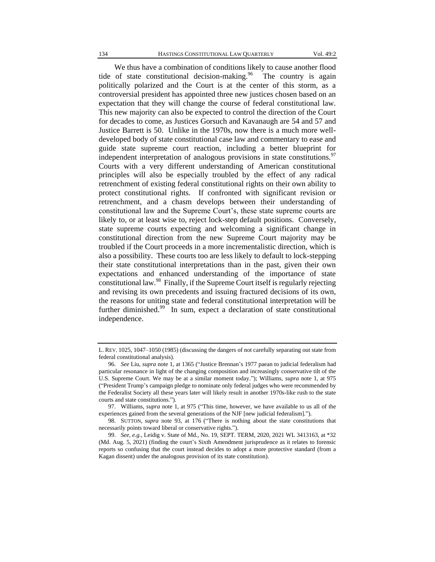We thus have a combination of conditions likely to cause another flood tide of state constitutional decision-making.  $96$  The country is again politically polarized and the Court is at the center of this storm, as a controversial president has appointed three new justices chosen based on an expectation that they will change the course of federal constitutional law. This new majority can also be expected to control the direction of the Court for decades to come, as Justices Gorsuch and Kavanaugh are 54 and 57 and Justice Barrett is 50. Unlike in the 1970s, now there is a much more welldeveloped body of state constitutional case law and commentary to ease and guide state supreme court reaction, including a better blueprint for independent interpretation of analogous provisions in state constitutions.<sup>97</sup> Courts with a very different understanding of American constitutional principles will also be especially troubled by the effect of any radical retrenchment of existing federal constitutional rights on their own ability to protect constitutional rights. If confronted with significant revision or retrenchment, and a chasm develops between their understanding of constitutional law and the Supreme Court's, these state supreme courts are likely to, or at least wise to, reject lock-step default positions. Conversely, state supreme courts expecting and welcoming a significant change in constitutional direction from the new Supreme Court majority may be troubled if the Court proceeds in a more incrementalistic direction, which is also a possibility. These courts too are less likely to default to lock-stepping their state constitutional interpretations than in the past, given their own expectations and enhanced understanding of the importance of state constitutional law.<sup>98</sup> Finally, if the Supreme Court itself is regularly rejecting and revising its own precedents and issuing fractured decisions of its own, the reasons for uniting state and federal constitutional interpretation will be further diminished.<sup>99</sup> In sum, expect a declaration of state constitutional independence.

L. REV. 1025, 1047–1050 (1985) (discussing the dangers of not carefully separating out state from federal constitutional analysis).

<sup>96</sup>*. See* Liu, *supra* note 1, at 1365 ("Justice Brennan's 1977 paean to judicial federalism had particular resonance in light of the changing composition and increasingly conservative tilt of the U.S. Supreme Court. We may be at a similar moment today."); Williams*, supra* note 1, at 975 ("President Trump's campaign pledge to nominate only federal judges who were recommended by the Federalist Society all these years later will likely result in another 1970s-like rush to the state courts and state constitutions.").

<sup>97.</sup> Williams*, supra* note 1, at 975 ("This time, however, we have available to us all of the experiences gained from the several generations of the NJF [new judicial federalism].").

<sup>98.</sup> SUTTON, *supra* note 93, at 176 ("There is nothing about the state constitutions that necessarily points toward liberal or conservative rights.").

<sup>99.</sup> *See, e.g.*, Leidig v. State of Md., No. 19, SEPT. TERM, 2020, 2021 WL 3413163, at \*32 (Md. Aug. 5, 2021) (finding the court's Sixth Amendment jurisprudence as it relates to forensic reports so confusing that the court instead decides to adopt a more protective standard (from a Kagan dissent) under the analogous provision of its state constitution).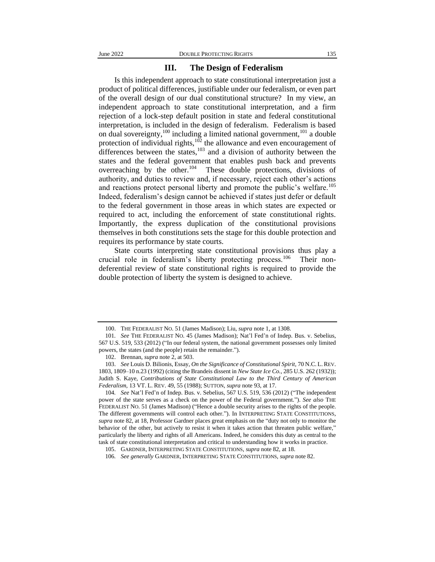#### **III. The Design of Federalism**

Is this independent approach to state constitutional interpretation just a product of political differences, justifiable under our federalism, or even part of the overall design of our dual constitutional structure? In my view, an independent approach to state constitutional interpretation, and a firm rejection of a lock-step default position in state and federal constitutional interpretation, is included in the design of federalism. Federalism is based on dual sovereignty, $100$  including a limited national government, $101$  a double protection of individual rights, $102$  the allowance and even encouragement of differences between the states,<sup>103</sup> and a division of authority between the states and the federal government that enables push back and prevents overreaching by the other.<sup>104</sup> These double protections, divisions of authority, and duties to review and, if necessary, reject each other's actions and reactions protect personal liberty and promote the public's welfare.<sup>105</sup> Indeed, federalism's design cannot be achieved if states just defer or default to the federal government in those areas in which states are expected or required to act, including the enforcement of state constitutional rights. Importantly, the express duplication of the constitutional provisions themselves in both constitutions sets the stage for this double protection and requires its performance by state courts.

State courts interpreting state constitutional provisions thus play a crucial role in federalism's liberty protecting process.<sup>106</sup> Their nondeferential review of state constitutional rights is required to provide the double protection of liberty the system is designed to achieve.

104*. See* Nat'l Fed'n of Indep. Bus. v. Sebelius, 567 U.S. 519, 536 (2012) ("The independent power of the state serves as a check on the power of the Federal government."). *See also* THE FEDERALIST NO. 51 (James Madison) ("Hence a double security arises to the rights of the people. The different governments will control each other."). In INTERPRETING STATE CONSTITUTIONS, *supra* note 82, at 18, Professor Gardner places great emphasis on the "duty not only to monitor the behavior of the other, but actively to resist it when it takes action that threaten public welfare," particularly the liberty and rights of all Americans. Indeed, he considers this duty as central to the task of state constitutional interpretation and critical to understanding how it works in practice.

<sup>100.</sup> THE FEDERALIST NO. 51 (James Madison); Liu, *supra* note 1, at 1308.

<sup>101</sup>*. See* THE FEDERALIST NO. 45 (James Madison); Nat'l Fed'n of Indep. Bus. v. Sebelius, 567 U.S. 519, 533 (2012) ("In our federal system, the national government possesses only limited powers, the states (and the people) retain the remainder.").

<sup>102.</sup> Brennan, *supra* note 2, at 503.

<sup>103.</sup> *See* Louis D. Bilionis, Essay, *On the Significance of Constitutional Spirit*, 70 N.C. L. REV. 1803, 1809–10 n.23 (1992) (citing the Brandeis dissent in *New State Ice Co.,* 285 U.S. 262 (1932)); Judith S. Kaye, *Contributions of State Constitutional Law to the Third Century of American Federalism*, 13 VT. L. REV. 49, 55 (1988); SUTTON, *supra* note 93, at 17.

<sup>105.</sup> GARDNER, INTERPRETING STATE CONSTITUTIONS, *supra* note 82, at 18.

<sup>106</sup>*. See generally* GARDNER, INTERPRETING STATE CONSTITUTIONS, *supra* note 82.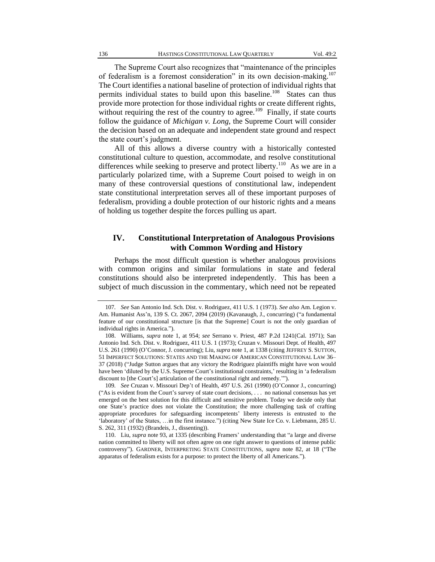The Supreme Court also recognizes that "maintenance of the principles of federalism is a foremost consideration" in its own decision-making.<sup>107</sup> The Court identifies a national baseline of protection of individual rights that permits individual states to build upon this baseline.<sup>108</sup> States can thus provide more protection for those individual rights or create different rights, without requiring the rest of the country to agree.<sup>109</sup> Finally, if state courts follow the guidance of *Michigan v. Long*, the Supreme Court will consider the decision based on an adequate and independent state ground and respect the state court's judgment.

All of this allows a diverse country with a historically contested constitutional culture to question, accommodate, and resolve constitutional differences while seeking to preserve and protect liberty.<sup>110</sup> As we are in a particularly polarized time, with a Supreme Court poised to weigh in on many of these controversial questions of constitutional law, independent state constitutional interpretation serves all of these important purposes of federalism, providing a double protection of our historic rights and a means of holding us together despite the forces pulling us apart.

#### **IV. Constitutional Interpretation of Analogous Provisions with Common Wording and History**

Perhaps the most difficult question is whether analogous provisions with common origins and similar formulations in state and federal constitutions should also be interpreted independently. This has been a subject of much discussion in the commentary, which need not be repeated

109*. See* Cruzan v. Missouri Dep't of Health, 497 U.S. 261 (1990) (O'Connor J., concurring) ("As is evident from the Court's survey of state court decisions, . . . no national consensus has yet emerged on the best solution for this difficult and sensitive problem. Today we decide only that one State's practice does not violate the Constitution; the more challenging task of crafting appropriate procedures for safeguarding incompetents' liberty interests is entrusted to the 'laboratory' of the States, …in the first instance.") (citing [New State Ice Co.](https://scholar.google.com/scholar_case?case=14454584999299199739&q=Cruzon&hl=en&as_sdt=40000006) v. Liebmann, 285 U. [S. 262, 311 \(1932\) \(Brandeis, J., dissenting\)\)](https://scholar.google.com/scholar_case?case=14454584999299199739&q=Cruzon&hl=en&as_sdt=40000006).

<sup>107</sup>*. See* San Antonio Ind. Sch. Dist. v. Rodriguez, 411 U.S. 1 (1973). *See also* Am. Legion v. Am. Humanist Ass'n, 139 S. Ct. 2067, 2094 (2019) (Kavanaugh, J., concurring) ("a fundamental feature of our constitutional structure [is that the Supreme] Court is not the only guardian of individual rights in America.").

<sup>108.</sup> Williams, *supra* note 1, at 954; *see* Serrano v. Priest, 487 P.2d 1241(Cal. 1971); San Antonio Ind. Sch. Dist. v. Rodriguez, 411 U.S. 1 (1973); Cruzan v. Missouri Dept. of Health, 497 U.S. 261 (1990) (O'Connor, J. concurring); Liu, *supra* note 1, at 1338 (citing JEFFREY S. SUTTON, 51 IMPERFECT SOLUTIONS: STATES AND THE MAKING OF AMERICAN CONSTITUTIONAL LAW 36– 37 (2018) ("Judge Sutton argues that any victory the Rodriguez plaintiffs might have won would have been 'diluted by the U.S. Supreme Court's institutional constraints,' resulting in 'a federalism discount to [the Court's] articulation of the constitutional right and remedy.'").

<sup>110.</sup> Liu, *supra* note 93, at 1335 (describing Framers' understanding that "a large and diverse nation committed to liberty will not often agree on one right answer to questions of intense public controversy"). GARDNER, INTERPRETING STATE CONSTITUTIONS, *supra* note 82, at 18 ("The apparatus of federalism exists for a purpose: to protect the liberty of all Americans.").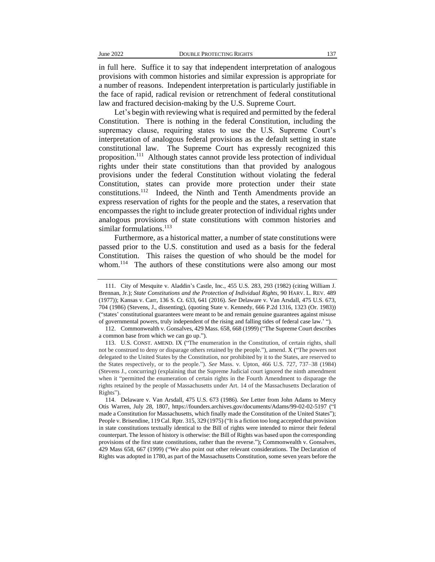in full here. Suffice it to say that independent interpretation of analogous provisions with common histories and similar expression is appropriate for a number of reasons. Independent interpretation is particularly justifiable in the face of rapid, radical revision or retrenchment of federal constitutional law and fractured decision-making by the U.S. Supreme Court.

Let's begin with reviewing what is required and permitted by the federal Constitution. There is nothing in the federal Constitution, including the supremacy clause, requiring states to use the U.S. Supreme Court's interpretation of analogous federal provisions as the default setting in state constitutional law. The Supreme Court has expressly recognized this proposition.<sup>111</sup> Although states cannot provide less protection of individual rights under their state constitutions than that provided by analogous provisions under the federal Constitution without violating the federal Constitution, states can provide more protection under their state constitutions.<sup>112</sup> Indeed, the Ninth and Tenth Amendments provide an express reservation of rights for the people and the states, a reservation that encompasses the right to include greater protection of individual rights under analogous provisions of state constitutions with common histories and similar formulations.<sup>113</sup>

Furthermore, as a historical matter, a number of state constitutions were passed prior to the U.S. constitution and used as a basis for the federal Constitution. This raises the question of who should be the model for whom.<sup>114</sup> The authors of these constitutions were also among our most

<sup>111.</sup> City of Mesquite v. Aladdin's Castle, Inc., 455 U.S. 283, 293 (1982) (citing William J. Brennan, Jr.); *State Constitutions and the Protection of Individual Rights*, 90 HARV. L. REV. 489 (1977)); Kansas v. Carr, 136 S. Ct. 633, 641 (2016). *See* Delaware v. Van Arsdall, 475 U.S. 673, 704 (1986) (Stevens, J., dissenting), (quoting State v. Kennedy, 666 P.2d 1316, 1323 (Or. 1983)) ("states' constitutional guarantees were meant to be and remain genuine guarantees against misuse of governmental powers, truly independent of the rising and falling tides of federal case law.' ").

<sup>112.</sup> Commonwealth v. Gonsalves, 429 Mass. 658, 668 (1999) ("The Supreme Court describes a common base from which we can go up.").

<sup>113.</sup> U.S. CONST. AMEND. IX ("The enumeration in the Constitution, of certain rights, shall not be construed to deny or disparage others retained by the people."), amend. X ("The powers not delegated to the United States by the Constitution, nor prohibited by it to the States, are reserved to the States respectively, or to the people."). *See* Mass. v. Upton, 466 U.S. 727, 737–38 (1984) (Stevens J., concurring) (explaining that the Supreme Judicial court ignored the ninth amendment when it "permitted the enumeration of certain rights in the Fourth Amendment to disparage the rights retained by the people of Massachusetts under Art. 14 of the Massachusetts Declaration of Rights").

<sup>114.</sup> Delaware v. Van Arsdall, 475 U.S. 673 (1986). *See* Letter from John Adams to Mercy Otis Warren, July 28, 1807, https://founders.archives.gov/documents/Adams/99-02-02-5197 ("I made a Constitution for Massachusetts, which finally made the Constitution of the United States"); People v. Brisendine, 119 Cal. Rptr. 315, 329 (1975) ("It is a fiction too long accepted that provision in state constitutions textually identical to the Bill of rights were intended to mirror their federal counterpart. The lesson of history is otherwise: the Bill of Rights was based upon the corresponding provisions of the first state constitutions, rather than the reverse."); Commonwealth v. Gonsalves, 429 Mass 658, 667 (1999) ("We also point out other relevant considerations. The Declaration of Rights was adopted in 1780, as part of the Massachusetts Constitution, some seven years before the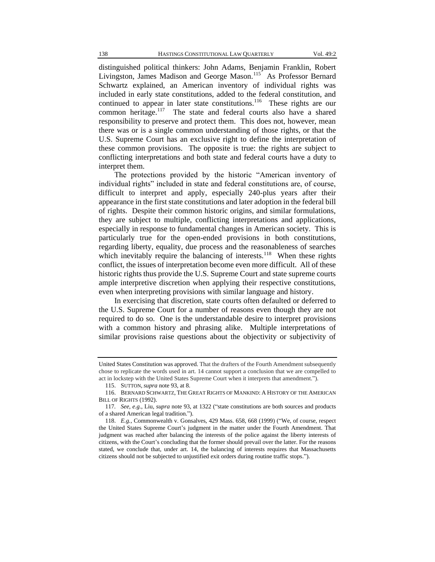distinguished political thinkers: John Adams, Benjamin Franklin, Robert Livingston, James Madison and George Mason.<sup>115</sup> As Professor Bernard Schwartz explained, an American inventory of individual rights was included in early state constitutions, added to the federal constitution, and continued to appear in later state constitutions.<sup>116</sup> These rights are our common heritage.<sup>117</sup> The state and federal courts also have a shared responsibility to preserve and protect them. This does not, however, mean there was or is a single common understanding of those rights, or that the U.S. Supreme Court has an exclusive right to define the interpretation of these common provisions. The opposite is true: the rights are subject to conflicting interpretations and both state and federal courts have a duty to interpret them.

The protections provided by the historic "American inventory of individual rights" included in state and federal constitutions are, of course, difficult to interpret and apply, especially 240-plus years after their appearance in the first state constitutions and later adoption in the federal bill of rights. Despite their common historic origins, and similar formulations, they are subject to multiple, conflicting interpretations and applications, especially in response to fundamental changes in American society. This is particularly true for the open-ended provisions in both constitutions, regarding liberty, equality, due process and the reasonableness of searches which inevitably require the balancing of interests.<sup>118</sup> When these rights conflict, the issues of interpretation become even more difficult. All of these historic rights thus provide the U.S. Supreme Court and state supreme courts ample interpretive discretion when applying their respective constitutions, even when interpreting provisions with similar language and history.

In exercising that discretion, state courts often defaulted or deferred to the U.S. Supreme Court for a number of reasons even though they are not required to do so. One is the understandable desire to interpret provisions with a common history and phrasing alike. Multiple interpretations of similar provisions raise questions about the objectivity or subjectivity of

United States Constitution was approved. That the drafters of the Fourth Amendment subsequently chose to replicate the words used in art. 14 cannot support a conclusion that we are compelled to act in lockstep with the United States Supreme Court when it interprets that amendment.").

<sup>115.</sup> SUTTON, *supra* note 93, at 8.

<sup>116.</sup> BERNARD SCHWARTZ, THE GREAT RIGHTS OF MANKIND: A HISTORY OF THE AMERICAN BILL OF RIGHTS (1992).

<sup>117</sup>*. See, e.g.*, Liu, *supra* note 93, at 1322 ("state constitutions are both sources and products of a shared American legal tradition.").

<sup>118.</sup> *E.g.*, Commonwealth v. Gonsalves, 429 Mass. 658, 668 (1999) ("We, of course, respect the United States Supreme Court's judgment in the matter under the Fourth Amendment. That judgment was reached after balancing the interests of the police against the liberty interests of citizens, with the Court's concluding that the former should prevail over the latter. For the reasons stated, we conclude that, under art. 14, the balancing of interests requires that Massachusetts citizens should not be subjected to unjustified exit orders during routine traffic stops.").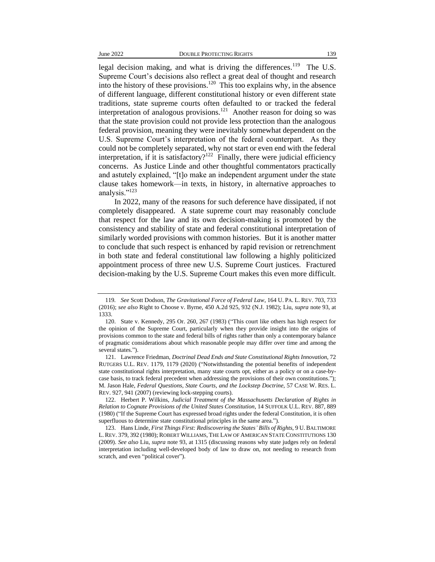legal decision making, and what is driving the differences.<sup>119</sup> The U.S. Supreme Court's decisions also reflect a great deal of thought and research into the history of these provisions.<sup>120</sup> This too explains why, in the absence of different language, different constitutional history or even different state traditions, state supreme courts often defaulted to or tracked the federal interpretation of analogous provisions.<sup>121</sup> Another reason for doing so was that the state provision could not provide less protection than the analogous federal provision, meaning they were inevitably somewhat dependent on the U.S. Supreme Court's interpretation of the federal counterpart. As they could not be completely separated, why not start or even end with the federal interpretation, if it is satisfactory?<sup>122</sup> Finally, there were judicial efficiency concerns. As Justice Linde and other thoughtful commentators practically and astutely explained, "[t]o make an independent argument under the state clause takes homework—in texts, in history, in alternative approaches to analysis."<sup>123</sup>

In 2022, many of the reasons for such deference have dissipated, if not completely disappeared. A state supreme court may reasonably conclude that respect for the law and its own decision-making is promoted by the consistency and stability of state and federal constitutional interpretation of similarly worded provisions with common histories. But it is another matter to conclude that such respect is enhanced by rapid revision or retrenchment in both state and federal constitutional law following a highly politicized appointment process of three new U.S. Supreme Court justices. Fractured decision-making by the U.S. Supreme Court makes this even more difficult.

<sup>119</sup>*. See* Scott Dodson, *The Gravitational Force of Federal Law*, 164 U. PA. L. REV. 703, 733 (2016); *see also* Right to Choose v. Byrne, 450 A.2d 925, 932 (N.J. 1982); Liu, *supra* note 93, at 1333.

<sup>120.</sup> State v. Kennedy, 295 Or. 260, 267 (1983) ("This court like others has high respect for the opinion of the Supreme Court, particularly when they provide insight into the origins of provisions common to the state and federal bills of rights rather than only a contemporary balance of pragmatic considerations about which reasonable people may differ over time and among the several states.").

<sup>121.</sup> Lawrence Friedman, *Doctrinal Dead Ends and State Constitutional Rights Innovation*, 72 RUTGERS U.L. REV. 1179, 1179 (2020) ("Notwithstanding the potential benefits of independent state constitutional rights interpretation, many state courts opt, either as a policy or on a case-bycase basis, to track federal precedent when addressing the provisions of their own constitutions."); M. Jason Hale, *Federal Questions, State Courts, and the Lockstep Doctrine*, 57 CASE W. RES. L. REV. 927, 941 (2007) (reviewing lock-stepping courts).

<sup>122.</sup> Herbert P. Wilkins, *Judicial Treatment of the Massachusetts Declaration of Rights in Relation to Cognate Provisions of the United States Constitution*, 14 SUFFOLK U.L. REV. 887, 889 (1980) ("If the Supreme Court has expressed broad rights under the federal Constitution, it is often superfluous to determine state constitutional principles in the same area.").

<sup>123.</sup> Hans Linde, *First Things First: Rediscovering the States' Bills of Rights*, 9 U.BALTIMORE L.REV. 379, 392 (1980); ROBERT WILLIAMS, THE LAW OF AMERICAN STATE CONSTITUTIONS 130 (2009). *See also* Liu, *supra* note 93, at 1315 (discussing reasons why state judges rely on federal interpretation including well-developed body of law to draw on, not needing to research from scratch, and even "political cover").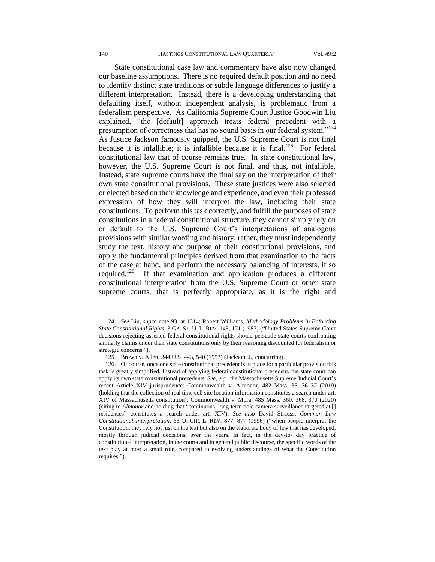State constitutional case law and commentary have also now changed our baseline assumptions. There is no required default position and no need to identify distinct state traditions or subtle language differences to justify a different interpretation. Instead, there is a developing understanding that defaulting itself, without independent analysis, is problematic from a federalism perspective. As California Supreme Court Justice Goodwin Liu explained, "the [default] approach treats federal precedent with a presumption of correctness that has no sound basis in our federal system."<sup>124</sup> As Justice Jackson famously quipped, the U.S. Supreme Court is not final because it is infallible; it is infallible because it is final.<sup>125</sup> For federal constitutional law that of course remains true. In state constitutional law, however, the U.S. Supreme Court is not final, and thus, not infallible. Instead, state supreme courts have the final say on the interpretation of their own state constitutional provisions. These state justices were also selected or elected based on their knowledge and experience, and even their professed expression of how they will interpret the law, including their state constitutions. To perform this task correctly, and fulfill the purposes of state constitutions in a federal constitutional structure, they cannot simply rely on or default to the U.S. Supreme Court's interpretations of analogous provisions with similar wording and history; rather, they must independently study the text, history and purpose of their constitutional provisions, and apply the fundamental principles derived from that examination to the facts of the case at hand, and perform the necessary balancing of interests, if so required.<sup>126</sup> If that examination and application produces a different constitutional interpretation from the U.S. Supreme Court or other state supreme courts, that is perfectly appropriate, as it is the right and

<sup>124</sup>*. See* Liu, *supra* note 93, at 1314; Robert Williams*, Methodology Problems in Enforcing State Constitutional Rights*, 3 GA. ST. U. L. REV. 143, 171 (1987) ("United States Supreme Court decisions rejecting asserted federal constitutional rights should persuade state courts confronting similarly claims under their state constitutions only by their reasoning discounted for federalism or strategic concerns.").

<sup>125.</sup> Brown v. Allen, 344 U.S. 443, 540 (1953) (Jackson, J., concurring).

<sup>126.</sup> Of course, once one state constitutional precedent is in place for a particular provision this task is greatly simplified. Instead of applying federal constitutional precedent, the state court can apply its own state constitutional precedents. *See, e.g.*, the Massachusetts Supreme Judicial Court's recent Article XIV jurisprudence: Commonwealth v. Almonor, 482 Mass. 35, 36–37 (2019) (holding that the collection of real time cell site location information constitutes a search under art. XIV of Massachusetts constitution); Commonwealth v. Mora, 485 Mass. 360, 368, 370 (2020) (citing to *Almonor* and holding that "continuous, long-term pole camera surveillance targeted at [] residences" constitutes a search under art. XIV). *See also* David Strauss, *Common Law Constitutional Interpretation*, 63 U. CHI. L. REV. 877, 877 (1996) ("when people interpret the Constitution, they rely not just on the text but also on the elaborate body of law that has developed, mostly through judicial decisions, over the years. In fact, in the day-to- day practice of constitutional interpretation, in the courts and in general public discourse, the specific words of the text play at most a small role, compared to evolving understandings of what the Constitution requires.").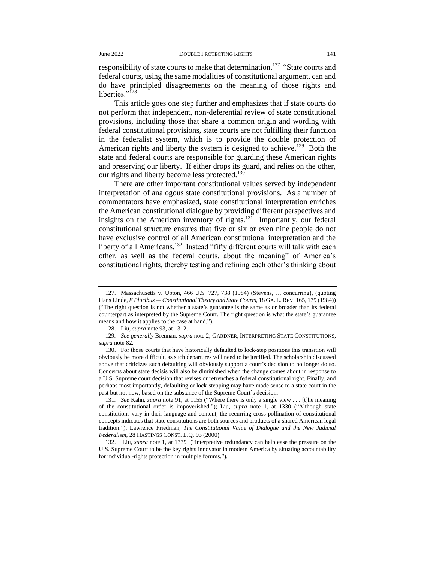responsibility of state courts to make that determination.<sup>127</sup> "State courts and federal courts, using the same modalities of constitutional argument, can and do have principled disagreements on the meaning of those rights and liberties."<sup>128</sup>

This article goes one step further and emphasizes that if state courts do not perform that independent, non-deferential review of state constitutional provisions, including those that share a common origin and wording with federal constitutional provisions, state courts are not fulfilling their function in the federalist system, which is to provide the double protection of American rights and liberty the system is designed to achieve.<sup>129</sup> Both the state and federal courts are responsible for guarding these American rights and preserving our liberty. If either drops its guard, and relies on the other, our rights and liberty become less protected.<sup>130</sup>

There are other important constitutional values served by independent interpretation of analogous state constitutional provisions. As a number of commentators have emphasized, state constitutional interpretation enriches the American constitutional dialogue by providing different perspectives and insights on the American inventory of rights. $131$  Importantly, our federal constitutional structure ensures that five or six or even nine people do not have exclusive control of all American constitutional interpretation and the liberty of all Americans.<sup>132</sup> Instead "fifty different courts will talk with each other, as well as the federal courts, about the meaning" of America's constitutional rights, thereby testing and refining each other's thinking about

<sup>127.</sup> Massachusetts v. Upton, 466 U.S. 727, 738 (1984) (Stevens, J., concurring), (quoting Hans Linde, *E Pluribus — Constitutional Theory and State Courts*, 18 GA. L.REV. 165, 179 (1984)) ("The right question is not whether a state's guarantee is the same as or broader than its federal counterpart as interpreted by the Supreme Court. The right question is what the state's guarantee means and how it applies to the case at hand.").

<sup>128.</sup> Liu, *supra* note 93, at 1312.

<sup>129</sup>*. See generally* Brennan, *supra* note 2; GARDNER, INTERPRETING STATE CONSTITUTIONS, *supra* note 82.

<sup>130.</sup> For those courts that have historically defaulted to lock-step positions this transition will obviously be more difficult, as such departures will need to be justified. The scholarship discussed above that criticizes such defaulting will obviously support a court's decision to no longer do so. Concerns about stare decisis will also be diminished when the change comes about in response to a U.S. Supreme court decision that revises or retrenches a federal constitutional right. Finally, and perhaps most importantly, defaulting or lock-stepping may have made sense to a state court in the past but not now, based on the substance of the Supreme Court's decision.

<sup>131</sup>*. See* Kahn, *supra* note 91, at 1155 ("Where there is only a single view . . . [t]he meaning of the constitutional order is impoverished."); Liu, *supra* note 1, at 1330 ("Although state constitutions vary in their language and content, the recurring cross-pollination of constitutional concepts indicates that state constitutions are both sources and products of a shared American legal tradition."); Lawrence Friedman, *The Constitutional Value of Dialogue and the New Judicial Federalism*, 28 HASTINGS CONST. L.Q. 93 (2000).

<sup>132.</sup> Liu, *supra* note 1, at 1339 ("interpretive redundancy can help ease the pressure on the U.S. Supreme Court to be the key rights innovator in modern America by situating accountability for individual-rights protection in multiple forums.").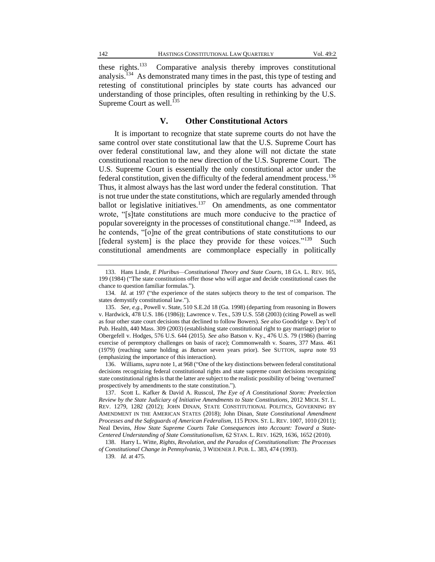these rights. $133$  Comparative analysis thereby improves constitutional analysis.<sup>134</sup> As demonstrated many times in the past, this type of testing and retesting of constitutional principles by state courts has advanced our understanding of those principles, often resulting in rethinking by the U.S. Supreme Court as well. $^{135}$ 

#### **V. Other Constitutional Actors**

It is important to recognize that state supreme courts do not have the same control over state constitutional law that the U.S. Supreme Court has over federal constitutional law, and they alone will not dictate the state constitutional reaction to the new direction of the U.S. Supreme Court. The U.S. Supreme Court is essentially the only constitutional actor under the federal constitution, given the difficulty of the federal amendment process.<sup>136</sup> Thus, it almost always has the last word under the federal constitution. That is not true under the state constitutions, which are regularly amended through ballot or legislative initiatives. $137$  On amendments, as one commentator wrote, "[s]tate constitutions are much more conducive to the practice of popular sovereignty in the processes of constitutional change."<sup>138</sup> Indeed, as he contends, "[o]ne of the great contributions of state constitutions to our [federal system] is the place they provide for these voices."<sup>139</sup> Such constitutional amendments are commonplace especially in politically

136. Williams, *supra* note 1, at 968 ("One of the key distinctions between federal constitutional decisions recognizing federal constitutional rights and state supreme court decisions recognizing state constitutional rights is that the latter are subject to the realistic possibility of being 'overturned' prospectively by amendments to the state constitution.").

<sup>133.</sup> Hans Linde, *E Pluribus—Constitutional Theory and State Courts*, 18 GA. L. REV. 165, 199 (1984) ("The state constitutions offer those who will argue and decide constitutional cases the chance to question familiar formulas.").

<sup>134</sup>*. Id.* at 197 ("the experience of the states subjects theory to the test of comparison. The states demystify constitutional law.").

<sup>135.</sup> *See, e.g.*, Powell v. State, 510 S.E.2d 18 (Ga. 1998) (departing from reasoning in Bowers v. Hardwick, 478 U.S. 186 (1986)); Lawrence v. Tex., 539 U.S. 558 (2003) (citing Powell as well as four other state court decisions that declined to follow Bowers). *See also* Goodridge v. Dep't of Pub. Health, 440 Mass. 309 (2003) (establishing state constitutional right to gay marriage) prior to Obergefell v. Hodges, 576 U.S. 644 (2015). *See also* Batson v. Ky., 476 U.S. 79 (1986) (barring exercise of peremptory challenges on basis of race); Commonwealth v. Soares, 377 Mass. 461 (1979) (reaching same holding as *Batson* seven years prior). See SUTTON, *supra* note 93 (emphasizing the importance of this interaction).

<sup>137.</sup> Scott L. Kafker & David A. Russcol, *The Eye of A Constitutional Storm: Preelection Review by the State Judiciary of Initiative Amendments to State Constitutions*, 2012 MICH. ST. L. REV. 1279, 1282 (2012); JOHN DINAN, STATE CONSTITUTIONAL POLITICS, GOVERNING BY AMENDMENT IN THE AMERICAN STATES (2018); John Dinan, *State Constitutional Amendment Processes and the Safeguards of American Federalism*, 115 PENN. ST. L. REV. 1007, 1010 (2011); Neal Devins, *How State Supreme Courts Take Consequences into Account: Toward a State-Centered Understanding of State Constitutionalism*, 62 STAN. L. REV. 1629, 1636, 1652 (2010).

<sup>138.</sup> Harry L. Witte*, Rights, Revolution, and the Paradox of Constitutionalism: The Processes of Constitutional Change in Pennsylvania*, 3 WIDENER J. PUB. L. 383, 474 (1993).

<sup>139</sup>*. Id.* at 475.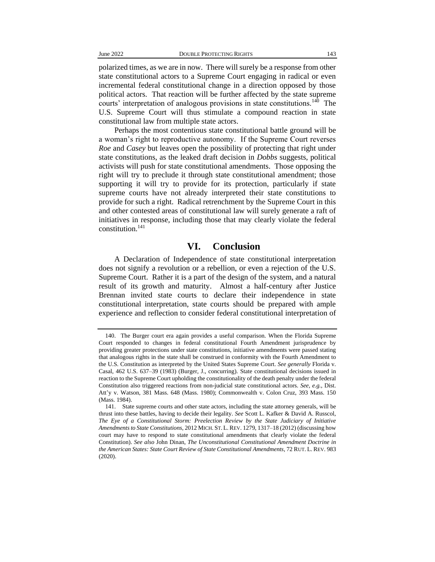polarized times, as we are in now. There will surely be a response from other state constitutional actors to a Supreme Court engaging in radical or even incremental federal constitutional change in a direction opposed by those political actors. That reaction will be further affected by the state supreme courts' interpretation of analogous provisions in state constitutions.<sup>140</sup> The U.S. Supreme Court will thus stimulate a compound reaction in state constitutional law from multiple state actors.

Perhaps the most contentious state constitutional battle ground will be a woman's right to reproductive autonomy. If the Supreme Court reverses *Roe* and *Casey* but leaves open the possibility of protecting that right under state constitutions, as the leaked draft decision in *Dobbs* suggests, political activists will push for state constitutional amendments. Those opposing the right will try to preclude it through state constitutional amendment; those supporting it will try to provide for its protection, particularly if state supreme courts have not already interpreted their state constitutions to provide for such a right. Radical retrenchment by the Supreme Court in this and other contested areas of constitutional law will surely generate a raft of initiatives in response, including those that may clearly violate the federal constitution.<sup>141</sup>

#### **VI. Conclusion**

A Declaration of Independence of state constitutional interpretation does not signify a revolution or a rebellion, or even a rejection of the U.S. Supreme Court. Rather it is a part of the design of the system, and a natural result of its growth and maturity. Almost a half-century after Justice Brennan invited state courts to declare their independence in state constitutional interpretation, state courts should be prepared with ample experience and reflection to consider federal constitutional interpretation of

<sup>140.</sup> The Burger court era again provides a useful comparison. When the Florida Supreme Court responded to changes in federal constitutional Fourth Amendment jurisprudence by providing greater protections under state constitutions, initiative amendments were passed stating that analogous rights in the state shall be construed in conformity with the Fourth Amendment to the U.S. Constitution as interpreted by the United States Supreme Court. *See generally* Florida v. Casal, 462 U.S. 637–39 (1983) (Burger, J., concurring). State constitutional decisions issued in reaction to the Supreme Court upholding the constitutionality of the death penalty under the federal Constitution also triggered reactions from non-judicial state constitutional actors. *See, e.g.*, Dist. Att'y v. Watson, 381 Mass. 648 (Mass. 1980); Commonwealth v. Colon Cruz, 393 Mass. 150 (Mass. 1984).

<sup>141.</sup> State supreme courts and other state actors, including the state attorney generals, will be thrust into these battles, having to decide their legality. *See* Scott L. Kafker & David A. Russcol, *The Eye of a Constitutional Storm: Preelection Review by the State Judiciary of Initiative Amendments to State Constitutions*, 2012 MICH. ST. L. REV. 1279, 1317–18 (2012) (discussing how court may have to respond to state constitutional amendments that clearly violate the federal Constitution). *See also* John Dinan, *The Unconstitutional Constitutional Amendment Doctrine in the American States: State Court Review of State Constitutional Amendments*, 72 RUT. L. REV. 983 (2020).